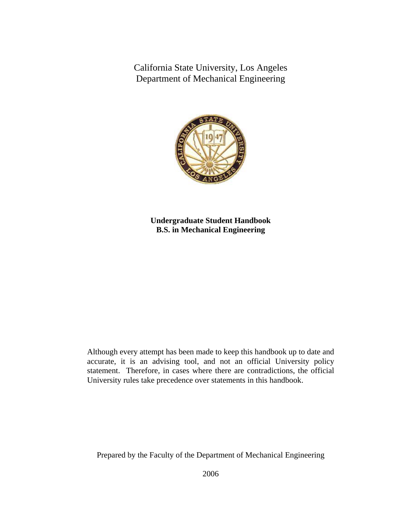California State University, Los Angeles Department of Mechanical Engineering



**Undergraduate Student Handbook B.S. in Mechanical Engineering** 

Although every attempt has been made to keep this handbook up to date and accurate, it is an advising tool, and not an official University policy statement. Therefore, in cases where there are contradictions, the official University rules take precedence over statements in this handbook.

Prepared by the Faculty of the Department of Mechanical Engineering

2006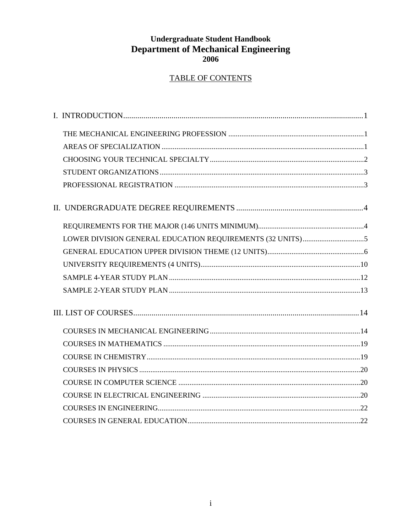## **Undergraduate Student Handbook Department of Mechanical Engineering** 2006

## **TABLE OF CONTENTS**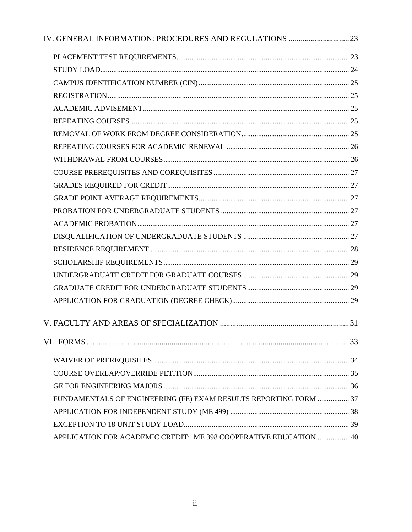| FUNDAMENTALS OF ENGINEERING (FE) EXAM RESULTS REPORTING FORM  37  |  |
|-------------------------------------------------------------------|--|
|                                                                   |  |
|                                                                   |  |
| APPLICATION FOR ACADEMIC CREDIT: ME 398 COOPERATIVE EDUCATION  40 |  |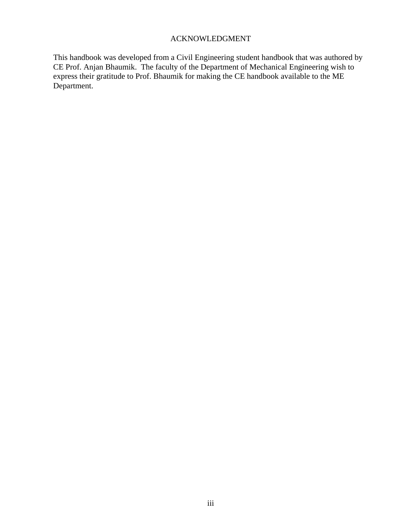## ACKNOWLEDGMENT

This handbook was developed from a Civil Engineering student handbook that was authored by CE Prof. Anjan Bhaumik. The faculty of the Department of Mechanical Engineering wish to express their gratitude to Prof. Bhaumik for making the CE handbook available to the ME Department.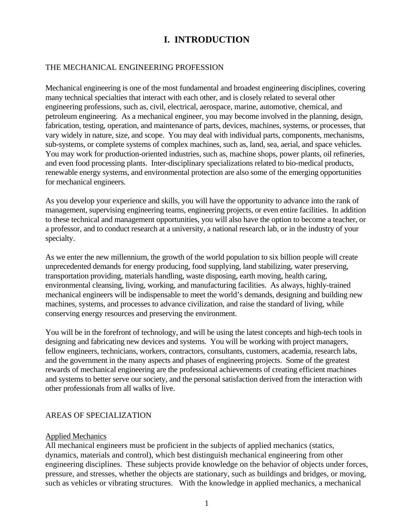## **I. INTRODUCTION**

#### THE MECHANICAL ENGINEERING PROFESSION

Mechanical engineering is one of the most fundamental and broadest engineering disciplines, covering many technical specialties that interact with each other, and is closely related to several other engineering professions, such as, civil, electrical, aerospace, marine, automotive, chemical, and petroleum engineering. As a mechanical engineer, you may become involved in the planning, design, fabrication, testing, operation, and maintenance of parts, devices, machines, systems, or processes, that vary widely in nature, size, and scope. You may deal with individual parts, components, mechanisms, sub-systems, or complete systems of complex machines, such as, land, sea, aerial, and space vehicles. You may work for production-oriented industries, such as, machine shops, power plants, oil refineries, and even food processing plants. Inter-disciplinary specializations related to bio-medical products, renewable energy systems, and environmental protection are also some of the emerging opportunities for mechanical engineers.

As you develop your experience and skills, you will have the opportunity to advance into the rank of management, supervising engineering teams, engineering projects, or even entire facilities. In addition to these technical and management opportunities, you will also have the option to become a teacher, or a professor, and to conduct research at a university, a national research lab, or in the industry of your specialty.

As we enter the new millennium, the growth of the world population to six billion people will create unprecedented demands for energy producing, food supplying, land stabilizing, water preserving, transportation providing, materials handling, waste disposing, earth moving, health caring, environmental cleansing, living, working, and manufacturing facilities. As always, highly-trained mechanical engineers will be indispensable to meet the world's demands, designing and building new machines, systems, and processes to advance civilization, and raise the standard of living, while conserving energy resources and preserving the environment.

You will be in the forefront of technology, and will be using the latest concepts and high-tech tools in designing and fabricating new devices and systems. You will be working with project managers, fellow engineers, technicians, workers, contractors, consultants, customers, academia, research labs, and the government in the many aspects and phases of engineering projects. Some of the greatest rewards of mechanical engineering are the professional achievements of creating efficient machines and systems to better serve our society, and the personal satisfaction derived from the interaction with other professionals from all walks of live.

#### AREAS OF SPECIALIZATION

#### Applied Mechanics

All mechanical engineers must be proficient in the subjects of applied mechanics (statics, dynamics, materials and control), which best distinguish mechanical engineering from other engineering disciplines. These subjects provide knowledge on the behavior of objects under forces, pressure, and stresses, whether the objects are stationary, such as buildings and bridges, or moving, such as vehicles or vibrating structures. With the knowledge in applied mechanics, a mechanical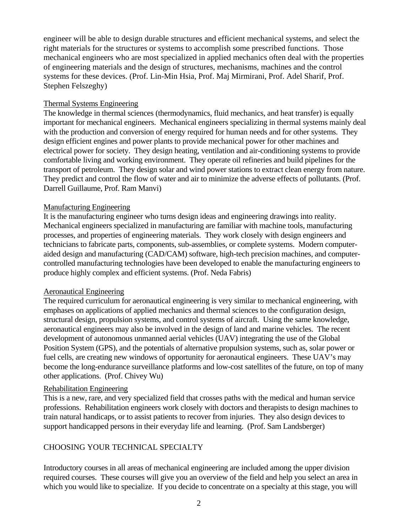engineer will be able to design durable structures and efficient mechanical systems, and select the right materials for the structures or systems to accomplish some prescribed functions. Those mechanical engineers who are most specialized in applied mechanics often deal with the properties of engineering materials and the design of structures, mechanisms, machines and the control systems for these devices. (Prof. Lin-Min Hsia, Prof. Maj Mirmirani, Prof. Adel Sharif, Prof. Stephen Felszeghy)

#### Thermal Systems Engineering

The knowledge in thermal sciences (thermodynamics, fluid mechanics, and heat transfer) is equally important for mechanical engineers. Mechanical engineers specializing in thermal systems mainly deal with the production and conversion of energy required for human needs and for other systems. They design efficient engines and power plants to provide mechanical power for other machines and electrical power for society. They design heating, ventilation and air-conditioning systems to provide comfortable living and working environment. They operate oil refineries and build pipelines for the transport of petroleum. They design solar and wind power stations to extract clean energy from nature. They predict and control the flow of water and air to minimize the adverse effects of pollutants. (Prof. Darrell Guillaume, Prof. Ram Manvi)

#### Manufacturing Engineering

It is the manufacturing engineer who turns design ideas and engineering drawings into reality. Mechanical engineers specialized in manufacturing are familiar with machine tools, manufacturing processes, and properties of engineering materials. They work closely with design engineers and technicians to fabricate parts, components, sub-assemblies, or complete systems. Modern computeraided design and manufacturing (CAD/CAM) software, high-tech precision machines, and computercontrolled manufacturing technologies have been developed to enable the manufacturing engineers to produce highly complex and efficient systems. (Prof. Neda Fabris)

#### Aeronautical Engineering

The required curriculum for aeronautical engineering is very similar to mechanical engineering, with emphases on applications of applied mechanics and thermal sciences to the configuration design, structural design, propulsion systems, and control systems of aircraft. Using the same knowledge, aeronautical engineers may also be involved in the design of land and marine vehicles. The recent development of autonomous unmanned aerial vehicles (UAV) integrating the use of the Global Position System (GPS), and the potentials of alternative propulsion systems, such as, solar power or fuel cells, are creating new windows of opportunity for aeronautical engineers. These UAV's may become the long-endurance surveillance platforms and low-cost satellites of the future, on top of many other applications. (Prof. Chivey Wu)

#### Rehabilitation Engineering

This is a new, rare, and very specialized field that crosses paths with the medical and human service professions. Rehabilitation engineers work closely with doctors and therapists to design machines to train natural handicaps, or to assist patients to recover from injuries. They also design devices to support handicapped persons in their everyday life and learning. (Prof. Sam Landsberger)

## CHOOSING YOUR TECHNICAL SPECIALTY

Introductory courses in all areas of mechanical engineering are included among the upper division required courses. These courses will give you an overview of the field and help you select an area in which you would like to specialize. If you decide to concentrate on a specialty at this stage, you will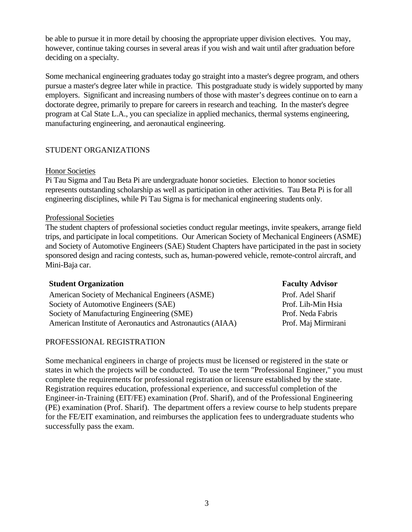be able to pursue it in more detail by choosing the appropriate upper division electives. You may, however, continue taking courses in several areas if you wish and wait until after graduation before deciding on a specialty.

Some mechanical engineering graduates today go straight into a master's degree program, and others pursue a master's degree later while in practice. This postgraduate study is widely supported by many employers. Significant and increasing numbers of those with master's degrees continue on to earn a doctorate degree, primarily to prepare for careers in research and teaching. In the master's degree program at Cal State L.A., you can specialize in applied mechanics, thermal systems engineering, manufacturing engineering, and aeronautical engineering.

#### STUDENT ORGANIZATIONS

#### Honor Societies

Pi Tau Sigma and Tau Beta Pi are undergraduate honor societies. Election to honor societies represents outstanding scholarship as well as participation in other activities. Tau Beta Pi is for all engineering disciplines, while Pi Tau Sigma is for mechanical engineering students only.

#### Professional Societies

The student chapters of professional societies conduct regular meetings, invite speakers, arrange field trips, and participate in local competitions. Our American Society of Mechanical Engineers (ASME) and Society of Automotive Engineers (SAE) Student Chapters have participated in the past in society sponsored design and racing contests, such as, human-powered vehicle, remote-control aircraft, and Mini-Baja car.

#### **Student Organization** Faculty Advisor

American Society of Mechanical Engineers (ASME) Prof. Adel Sharif Society of Automotive Engineers (SAE) Prof. Lih-Min Hsia Society of Manufacturing Engineering (SME) Prof. Neda Fabris American Institute of Aeronautics and Astronautics (AIAA) Prof. Maj Mirmirani

#### PROFESSIONAL REGISTRATION

Some mechanical engineers in charge of projects must be licensed or registered in the state or states in which the projects will be conducted. To use the term "Professional Engineer," you must complete the requirements for professional registration or licensure established by the state. Registration requires education, professional experience, and successful completion of the Engineer-in-Training (EIT/FE) examination (Prof. Sharif), and of the Professional Engineering (PE) examination (Prof. Sharif). The department offers a review course to help students prepare for the FE/EIT examination, and reimburses the application fees to undergraduate students who successfully pass the exam.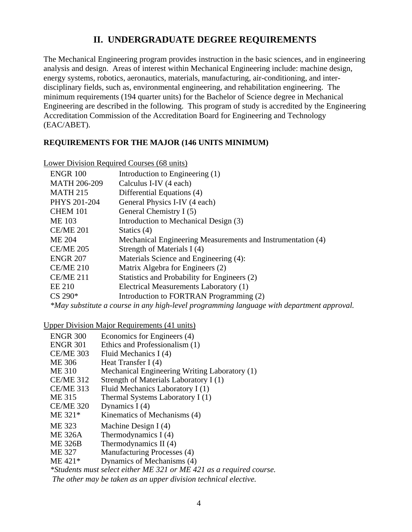## **II. UNDERGRADUATE DEGREE REQUIREMENTS**

The Mechanical Engineering program provides instruction in the basic sciences, and in engineering analysis and design. Areas of interest within Mechanical Engineering include: machine design, energy systems, robotics, aeronautics, materials, manufacturing, air-conditioning, and interdisciplinary fields, such as, environmental engineering, and rehabilitation engineering. The minimum requirements (194 quarter units) for the Bachelor of Science degree in Mechanical Engineering are described in the following. This program of study is accredited by the Engineering Accreditation Commission of the Accreditation Board for Engineering and Technology (EAC/ABET).

#### **REQUIREMENTS FOR THE MAJOR (146 UNITS MINIMUM)**

| Lower Division Required Courses (68 units) |                                                             |  |  |
|--------------------------------------------|-------------------------------------------------------------|--|--|
| <b>ENGR 100</b>                            | Introduction to Engineering (1)                             |  |  |
| <b>MATH 206-209</b>                        | Calculus I-IV (4 each)                                      |  |  |
| <b>MATH 215</b>                            | Differential Equations (4)                                  |  |  |
| PHYS 201-204                               | General Physics I-IV (4 each)                               |  |  |
| <b>CHEM 101</b>                            | General Chemistry I (5)                                     |  |  |
| <b>ME 103</b>                              | Introduction to Mechanical Design (3)                       |  |  |
| <b>CE/ME 201</b>                           | Statics $(4)$                                               |  |  |
| <b>ME 204</b>                              | Mechanical Engineering Measurements and Instrumentation (4) |  |  |
| <b>CE/ME 205</b>                           | Strength of Materials I (4)                                 |  |  |
| <b>ENGR 207</b>                            | Materials Science and Engineering (4):                      |  |  |
| <b>CE/ME 210</b>                           | Matrix Algebra for Engineers (2)                            |  |  |
| <b>CE/ME 211</b>                           | Statistics and Probability for Engineers (2)                |  |  |
| <b>EE 210</b>                              | Electrical Measurements Laboratory (1)                      |  |  |
| $CS 290*$                                  | Introduction to FORTRAN Programming (2)                     |  |  |
|                                            |                                                             |  |  |

*\*May substitute a course in any high-level programming language with department approval.* 

Upper Division Major Requirements (41 units)

| <b>ENGR 300</b>  | Economics for Engineers (4)                                         |
|------------------|---------------------------------------------------------------------|
| <b>ENGR 301</b>  | Ethics and Professionalism (1)                                      |
| <b>CE/ME 303</b> | Fluid Mechanics I (4)                                               |
| <b>ME 306</b>    | Heat Transfer I $(4)$                                               |
| <b>ME 310</b>    | Mechanical Engineering Writing Laboratory (1)                       |
| <b>CE/ME 312</b> | Strength of Materials Laboratory I (1)                              |
| <b>CE/ME 313</b> | Fluid Mechanics Laboratory I (1)                                    |
| ME 315           | Thermal Systems Laboratory I (1)                                    |
| <b>CE/ME 320</b> | Dynamics $I(4)$                                                     |
| ME 321*          | Kinematics of Mechanisms (4)                                        |
| ME 323           | Machine Design $I(4)$                                               |
| <b>ME 326A</b>   | Thermodynamics $I(4)$                                               |
| <b>ME 326B</b>   | Thermodynamics II (4)                                               |
| <b>ME 327</b>    | Manufacturing Processes (4)                                         |
| $ME 421*$        | Dynamics of Mechanisms (4)                                          |
|                  | *Students must select either ME 321 or ME 421 as a required course. |
|                  | The other may be taken as an upper division technical elective.     |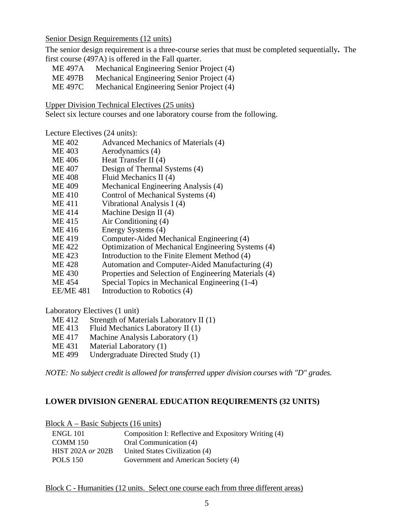Senior Design Requirements (12 units)

The senior design requirement is a three**-**course series that must be completed sequentially**.** The first course (497A) is offered in the Fall quarter.

- ME 497A Mechanical Engineering Senior Project (4)
- ME 497B Mechanical Engineering Senior Project (4)
- ME 497C Mechanical Engineering Senior Project (4)

Upper Division Technical Electives (25 units)

Select six lecture courses and one laboratory course from the following.

Lecture Electives (24 units):

- ME 402 Advanced Mechanics of Materials (4)
- ME 403 Aerodynamics (4)
- ME 406 Heat Transfer II (4)
- ME 407 Design of Thermal Systems (4)
- ME 408 Fluid Mechanics II (4)
- ME 409 Mechanical Engineering Analysis (4)
- ME 410 Control of Mechanical Systems (4)
- ME 411 Vibrational Analysis I (4)
- ME 414 Machine Design II (4)
- ME 415 Air Conditioning (4)
- ME 416 Energy Systems (4)
- ME 419 Computer-Aided Mechanical Engineering (4)
- ME 422 Optimization of Mechanical Engineering Systems (4)
- ME 423 Introduction to the Finite Element Method (4)
- ME 428 Automation and Computer-Aided Manufacturing (4)
- ME 430 Properties and Selection of Engineering Materials (4)
- ME 454 Special Topics in Mechanical Engineering (1-4)
- EE/ME 481 Introduction to Robotics (4)

Laboratory Electives (1 unit)

- ME 412 Strength of Materials Laboratory II (1)
- ME 413 Fluid Mechanics Laboratory II (1)
- ME 417 Machine Analysis Laboratory (1)
- ME 431 Material Laboratory (1)<br>ME 499 Undergraduate Directed
- Undergraduate Directed Study (1)

*NOTE: No subject credit is allowed for transferred upper division courses with "D" grades.*

## **LOWER DIVISION GENERAL EDUCATION REQUIREMENTS (32 UNITS)**

Block A – Basic Subjects (16 units)

| ENGL 101                 | Composition I: Reflective and Expository Writing (4) |
|--------------------------|------------------------------------------------------|
| COMM 150                 | Oral Communication (4)                               |
| <b>HIST 202A or 202B</b> | United States Civilization (4)                       |
| POLS 150                 | Government and American Society (4)                  |

Block C - Humanities (12 units. Select one course each from three different areas)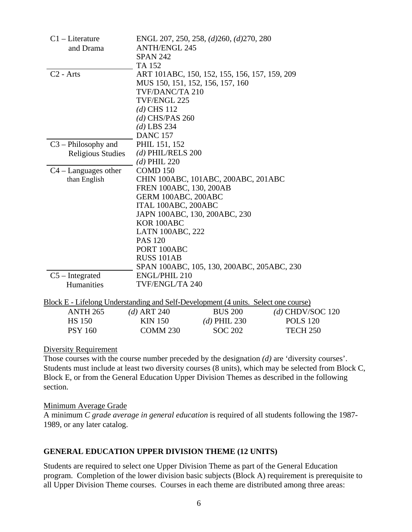| $C1$ – Literature                                                                  |                         | ENGL 207, 250, 258, (d)260, (d)270, 280       |                    |
|------------------------------------------------------------------------------------|-------------------------|-----------------------------------------------|--------------------|
| and Drama                                                                          | <b>ANTH/ENGL 245</b>    |                                               |                    |
|                                                                                    | <b>SPAN 242</b>         |                                               |                    |
|                                                                                    | TA 152                  |                                               |                    |
| $C2$ - Arts                                                                        |                         | ART 101ABC, 150, 152, 155, 156, 157, 159, 209 |                    |
|                                                                                    |                         | MUS 150, 151, 152, 156, 157, 160              |                    |
|                                                                                    | TVF/DANC/TA 210         |                                               |                    |
|                                                                                    | TVF/ENGL 225            |                                               |                    |
|                                                                                    | $(d)$ CHS 112           |                                               |                    |
|                                                                                    | $(d)$ CHS/PAS 260       |                                               |                    |
|                                                                                    | $(d)$ LBS 234           |                                               |                    |
|                                                                                    | <b>DANC 157</b>         |                                               |                    |
| $C3$ – Philosophy and                                                              | PHIL 151, 152           |                                               |                    |
| <b>Religious Studies</b>                                                           | $(d)$ PHIL/RELS 200     |                                               |                    |
|                                                                                    | $(d)$ PHIL 220          |                                               |                    |
| $C4 - Languages$ other                                                             | COMD <sub>150</sub>     |                                               |                    |
| than English                                                                       |                         | CHIN 100ABC, 101ABC, 200ABC, 201ABC           |                    |
|                                                                                    | FREN 100ABC, 130, 200AB |                                               |                    |
|                                                                                    | GERM 100ABC, 200ABC     |                                               |                    |
|                                                                                    | ITAL 100ABC, 200ABC     |                                               |                    |
|                                                                                    |                         | JAPN 100ABC, 130, 200ABC, 230                 |                    |
|                                                                                    | KOR 100ABC              |                                               |                    |
|                                                                                    | <b>LATN 100ABC, 222</b> |                                               |                    |
|                                                                                    | <b>PAS 120</b>          |                                               |                    |
|                                                                                    | PORT 100ABC             |                                               |                    |
|                                                                                    | <b>RUSS 101AB</b>       |                                               |                    |
|                                                                                    |                         | SPAN 100ABC, 105, 130, 200ABC, 205ABC, 230    |                    |
| $C5$ – Integrated                                                                  | <b>ENGL/PHIL 210</b>    |                                               |                    |
| Humanities                                                                         | TVF/ENGL/TA 240         |                                               |                    |
|                                                                                    |                         |                                               |                    |
| Block E - Lifelong Understanding and Self-Development (4 units. Select one course) |                         |                                               |                    |
| <b>ANTH 265</b>                                                                    | $(d)$ ART 240           | <b>BUS 200</b>                                | $(d)$ CHDV/SOC 120 |
| <b>HS 150</b>                                                                      | <b>KIN 150</b>          | $(d)$ PHIL 230                                | <b>POLS 120</b>    |
| <b>PSY 160</b>                                                                     | <b>COMM 230</b>         | <b>SOC 202</b>                                | <b>TECH 250</b>    |
|                                                                                    |                         |                                               |                    |

#### Diversity Requirement

Those courses with the course number preceded by the designation *(d)* are 'diversity courses'. Students must include at least two diversity courses (8 units)*,* which may be selected from Block C, Block E, or from the General Education Upper Division Themes as described in the following section.

#### Minimum Average Grade

A minimum *C grade average in general education* is required of all students following the 1987- 1989, or any later catalog.

#### **GENERAL EDUCATION UPPER DIVISION THEME (12 UNITS)**

Students are required to select one Upper Division Theme as part of the General Education program. Completion of the lower division basic subjects (Block A) requirement is prerequisite to all Upper Division Theme courses. Courses in each theme are distributed among three areas: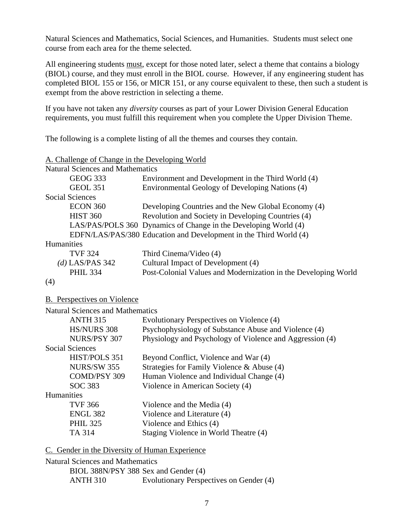Natural Sciences and Mathematics, Social Sciences, and Humanities. Students must select one course from each area for the theme selected.

All engineering students must, except for those noted later, select a theme that contains a biology (BIOL) course, and they must enroll in the BIOL course. However, if any engineering student has completed BIOL 155 or 156, or MICR 151, or any course equivalent to these, then such a student is exempt from the above restriction in selecting a theme.

If you have not taken any *diversity* courses as part of your Lower Division General Education requirements, you must fulfill this requirement when you complete the Upper Division Theme.

The following is a complete listing of all the themes and courses they contain.

| A. Challenge of Change in the Developing World |                                                                   |
|------------------------------------------------|-------------------------------------------------------------------|
| <b>Natural Sciences and Mathematics</b>        |                                                                   |
| <b>GEOG 333</b>                                | Environment and Development in the Third World (4)                |
| <b>GEOL 351</b>                                | Environmental Geology of Developing Nations (4)                   |
| <b>Social Sciences</b>                         |                                                                   |
| <b>ECON 360</b>                                | Developing Countries and the New Global Economy (4)               |
| <b>HIST 360</b>                                | Revolution and Society in Developing Countries (4)                |
|                                                | LAS/PAS/POLS 360 Dynamics of Change in the Developing World (4)   |
|                                                | EDFN/LAS/PAS/380 Education and Development in the Third World (4) |
| Humanities                                     |                                                                   |
| <b>TVF 324</b>                                 | Third Cinema/Video (4)                                            |
| (d) LAS/PAS 342                                | Cultural Impact of Development (4)                                |
| <b>PHIL 334</b>                                | Post-Colonial Values and Modernization in the Developing World    |
| (4)                                            |                                                                   |
| <b>B.</b> Perspectives on Violence             |                                                                   |
| <b>Natural Sciences and Mathematics</b>        |                                                                   |
| <b>ANTH 315</b>                                | Evolutionary Perspectives on Violence (4)                         |
| <b>HS/NURS 308</b>                             | Psychophysiology of Substance Abuse and Violence (4)              |
| NURS/PSY 307                                   | Physiology and Psychology of Violence and Aggression (4)          |
| <b>Social Sciences</b>                         |                                                                   |
| HIST/POLS 351                                  | Beyond Conflict, Violence and War (4)                             |
| <b>NURS/SW 355</b>                             | Strategies for Family Violence & Abuse (4)                        |
| COMD/PSY 309                                   | Human Violence and Individual Change (4)                          |
| <b>SOC 383</b>                                 | Violence in American Society (4)                                  |
| Humanities                                     |                                                                   |
|                                                |                                                                   |

| 1 1 4 1 1 1 4 1 1 1 1 1 0 0 |                                       |
|-----------------------------|---------------------------------------|
| TVF 366                     | Violence and the Media (4)            |
| ENGL 382                    | Violence and Literature (4)           |
| <b>PHIL 325</b>             | Violence and Ethics (4)               |
| TA 314                      | Staging Violence in World Theatre (4) |

C. Gender in the Diversity of Human Experience

Natural Sciences and Mathematics

 BIOL 388N/PSY 388 Sex and Gender (4) ANTH 310 Evolutionary Perspectives on Gender (4)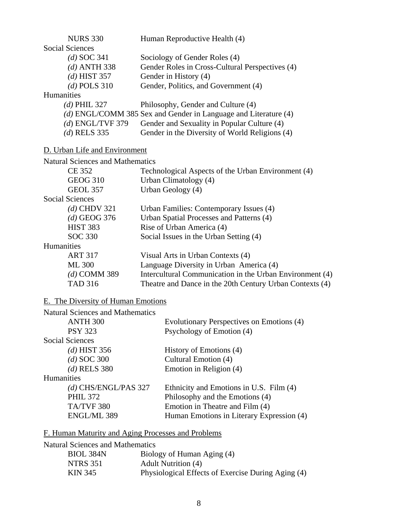| <b>NURS 330</b>                                    | Human Reproductive Health (4)                                   |  |  |
|----------------------------------------------------|-----------------------------------------------------------------|--|--|
| <b>Social Sciences</b>                             |                                                                 |  |  |
| $(d)$ SOC 341                                      | Sociology of Gender Roles (4)                                   |  |  |
| $(d)$ ANTH 338                                     | Gender Roles in Cross-Cultural Perspectives (4)                 |  |  |
| $(d)$ HIST 357                                     | Gender in History (4)                                           |  |  |
| $(d)$ POLS 310                                     | Gender, Politics, and Government (4)                            |  |  |
| <b>Humanities</b>                                  |                                                                 |  |  |
| $(d)$ PHIL 327                                     | Philosophy, Gender and Culture (4)                              |  |  |
|                                                    | (d) ENGL/COMM 385 Sex and Gender in Language and Literature (4) |  |  |
| $(d)$ ENGL/TVF 379                                 | Gender and Sexuality in Popular Culture (4)                     |  |  |
| $(d)$ RELS 335                                     | Gender in the Diversity of World Religions (4)                  |  |  |
| D. Urban Life and Environment                      |                                                                 |  |  |
| <b>Natural Sciences and Mathematics</b>            |                                                                 |  |  |
| <b>CE 352</b>                                      | Technological Aspects of the Urban Environment (4)              |  |  |
| <b>GEOG 310</b>                                    | Urban Climatology (4)                                           |  |  |
| <b>GEOL 357</b>                                    | Urban Geology (4)                                               |  |  |
| <b>Social Sciences</b>                             |                                                                 |  |  |
| $(d)$ CHDV 321                                     | Urban Families: Contemporary Issues (4)                         |  |  |
| $(d)$ GEOG 376                                     | Urban Spatial Processes and Patterns (4)                        |  |  |
| <b>HIST 383</b>                                    | Rise of Urban America (4)                                       |  |  |
| <b>SOC 330</b>                                     | Social Issues in the Urban Setting (4)                          |  |  |
| Humanities                                         |                                                                 |  |  |
| <b>ART 317</b>                                     | Visual Arts in Urban Contexts (4)                               |  |  |
| <b>ML 300</b>                                      | Language Diversity in Urban America (4)                         |  |  |
| $(d)$ COMM 389                                     | Intercultural Communication in the Urban Environment (4)        |  |  |
| <b>TAD 316</b>                                     | Theatre and Dance in the 20th Century Urban Contexts (4)        |  |  |
| E. The Diversity of Human Emotions                 |                                                                 |  |  |
| <b>Natural Sciences and Mathematics</b>            |                                                                 |  |  |
| ANTH <sub>300</sub>                                | Evolutionary Perspectives on Emotions (4)                       |  |  |
| <b>PSY 323</b>                                     | Psychology of Emotion (4)                                       |  |  |
| Social Sciences                                    |                                                                 |  |  |
| $(d)$ HIST 356                                     | History of Emotions (4)                                         |  |  |
| $(d)$ SOC 300                                      | Cultural Emotion (4)                                            |  |  |
| $(d)$ RELS 380                                     | Emotion in Religion (4)                                         |  |  |
| Humanities                                         |                                                                 |  |  |
| $(d)$ CHS/ENGL/PAS 327                             | Ethnicity and Emotions in U.S. Film (4)                         |  |  |
| <b>PHIL 372</b>                                    | Philosophy and the Emotions (4)                                 |  |  |
| TA/TVF 380                                         | Emotion in Theatre and Film (4)                                 |  |  |
| ENGL/ML 389                                        | Human Emotions in Literary Expression (4)                       |  |  |
| F. Human Maturity and Aging Processes and Problems |                                                                 |  |  |
| <b>Natural Sciences and Mathematics</b>            |                                                                 |  |  |
| BIOL 384N                                          | Biology of Human Aging (4)                                      |  |  |

- NTRS 351 Adult Nutrition (4)
- KIN 345 Physiological Effects of Exercise During Aging (4)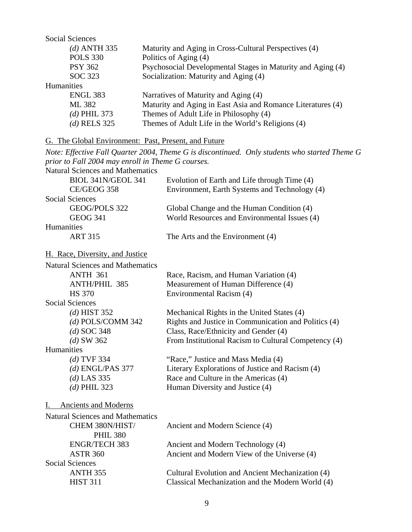| <b>Social Sciences</b> |                                                             |
|------------------------|-------------------------------------------------------------|
| (d) ANTH 335           | Maturity and Aging in Cross-Cultural Perspectives (4)       |
| <b>POLS 330</b>        | Politics of Aging (4)                                       |
| <b>PSY 362</b>         | Psychosocial Developmental Stages in Maturity and Aging (4) |
| SOC 323                | Socialization: Maturity and Aging (4)                       |
| <b>Humanities</b>      |                                                             |
| <b>ENGL 383</b>        | Narratives of Maturity and Aging (4)                        |
| ML 382                 | Maturity and Aging in East Asia and Romance Literatures (4) |
| $(d)$ PHIL 373         | Themes of Adult Life in Philosophy (4)                      |
| $(d)$ RELS 325         | Themes of Adult Life in the World's Religions (4)           |
|                        |                                                             |

## G. The Global Environment: Past, Present, and Future

|                                                   | Note: Effective Fall Quarter 2004, Theme G is discontinued. Only students who started Theme G |
|---------------------------------------------------|-----------------------------------------------------------------------------------------------|
| prior to Fall 2004 may enroll in Theme G courses. |                                                                                               |
| <b>Natural Sciences and Mathematics</b>           |                                                                                               |
| BIOL 341N/GEOL 341                                | Evolution of Earth and Life through Time (4)                                                  |
| CE/GEOG 358                                       | Environment, Earth Systems and Technology (4)                                                 |
| <b>Social Sciences</b>                            |                                                                                               |
| GEOG/POLS 322                                     | Global Change and the Human Condition (4)                                                     |
| <b>GEOG 341</b>                                   | World Resources and Environmental Issues (4)                                                  |
| Humanities                                        |                                                                                               |
| <b>ART 315</b>                                    | The Arts and the Environment (4)                                                              |
| H. Race, Diversity, and Justice                   |                                                                                               |
| <b>Natural Sciences and Mathematics</b>           |                                                                                               |
| <b>ANTH 361</b>                                   | Race, Racism, and Human Variation (4)                                                         |
| <b>ANTH/PHIL 385</b>                              | Measurement of Human Difference (4)                                                           |
| <b>HS 370</b>                                     | Environmental Racism (4)                                                                      |
| <b>Social Sciences</b>                            |                                                                                               |
| $(d)$ HIST 352                                    | Mechanical Rights in the United States (4)                                                    |
| $(d)$ POLS/COMM 342                               | Rights and Justice in Communication and Politics (4)                                          |
| $(d)$ SOC 348                                     | Class, Race/Ethnicity and Gender (4)                                                          |
| $(d)$ SW 362                                      | From Institutional Racism to Cultural Competency (4)                                          |
| Humanities                                        |                                                                                               |
| $(d)$ TVF 334                                     | "Race," Justice and Mass Media (4)                                                            |
| $(d)$ ENGL/PAS 377                                | Literary Explorations of Justice and Racism (4)                                               |
| $(d)$ LAS 335                                     | Race and Culture in the Americas (4)                                                          |
| $(d)$ PHIL 323                                    | Human Diversity and Justice (4)                                                               |
| Ancients and Moderns<br>$1_{-}$                   |                                                                                               |
| <b>Natural Sciences and Mathematics</b>           |                                                                                               |
| CHEM 380N/HIST/                                   | Ancient and Modern Science (4)                                                                |
| <b>PHIL 380</b>                                   |                                                                                               |
| <b>ENGR/TECH 383</b>                              | Ancient and Modern Technology (4)                                                             |
| <b>ASTR 360</b>                                   | Ancient and Modern View of the Universe (4)                                                   |
| <b>Social Sciences</b>                            |                                                                                               |
| <b>ANTH 355</b>                                   | Cultural Evolution and Ancient Mechanization (4)                                              |
| <b>HIST 311</b>                                   | Classical Mechanization and the Modern World (4)                                              |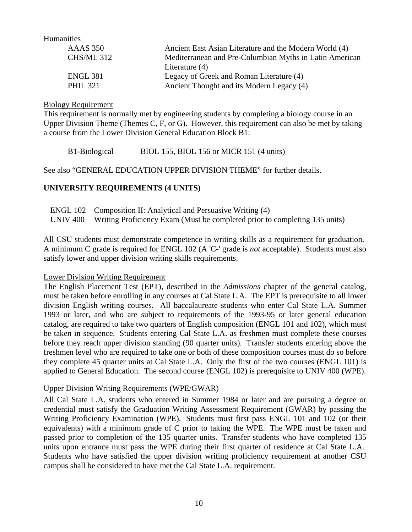Humanities

| <b>AAAS</b> 350   | Ancient East Asian Literature and the Modern World (4)  |
|-------------------|---------------------------------------------------------|
| <b>CHS/ML 312</b> | Mediterranean and Pre-Columbian Myths in Latin American |
|                   | Literature $(4)$                                        |
| <b>ENGL 381</b>   | Legacy of Greek and Roman Literature (4)                |
| <b>PHIL 321</b>   | Ancient Thought and its Modern Legacy (4)               |

#### Biology Requirement

This requirement is normally met by engineering students by completing a biology course in an Upper Division Theme (Themes C, F, or G). However, this requirement can also be met by taking a course from the Lower Division General Education Block B1:

B1-Biological BIOL 155, BIOL 156 or MICR 151 (4 units)

See also "GENERAL EDUCATION UPPER DIVISION THEME" for further details.

#### **UNIVERSITY REQUIREMENTS (4 UNITS)**

| ENGL 102 Composition II: Analytical and Persuasive Writing (4)                      |
|-------------------------------------------------------------------------------------|
| UNIV 400 Writing Proficiency Exam (Must be completed prior to completing 135 units) |

All CSU students must demonstrate competence in writing skills as a requirement for graduation. A minimum C grade is required for ENGL 102 (A 'C-' grade is *not* acceptable).Students must also satisfy lower and upper division writing skills requirements.

#### Lower Division Writing Requirement

The English Placement Test (EPT), described in the *Admissions* chapter of the general catalog, must be taken before enrolling in any courses at Cal State L.A. The EPT is prerequisite to all lower division English writing courses. All baccalaureate students who enter Cal State L.A. Summer 1993 or later, and who are subject to requirements of the 1993-95 or later general education catalog, are required to take two quarters of English composition (ENGL 101 and 102), which must be taken in sequence. Students entering Cal State L.A. as freshmen must complete these courses before they reach upper division standing (90 quarter units). Transfer students entering above the freshmen level who are required to take one or both of these composition courses must do so before they complete 45 quarter units at Cal State L.A. Only the first of the two courses (ENGL 101) is applied to General Education. The second course (ENGL 102) is prerequisite to UNIV 400 (WPE).

#### Upper Division Writing Requirements (WPE/GWAR)

All Cal State L.A. students who entered in Summer 1984 or later and are pursuing a degree or credential must satisfy the Graduation Writing Assessment Requirement (GWAR) by passing the Writing Proficiency Examination (WPE). Students must first pass ENGL 101 and 102 (or their equivalents) with a minimum grade of C prior to taking the WPE. The WPE must be taken and passed prior to completion of the 135 quarter units. Transfer students who have completed 135 units upon entrance must pass the WPE during their first quarter of residence at Cal State L.A. Students who have satisfied the upper division writing proficiency requirement at another CSU campus shall be considered to have met the Cal State L.A. requirement.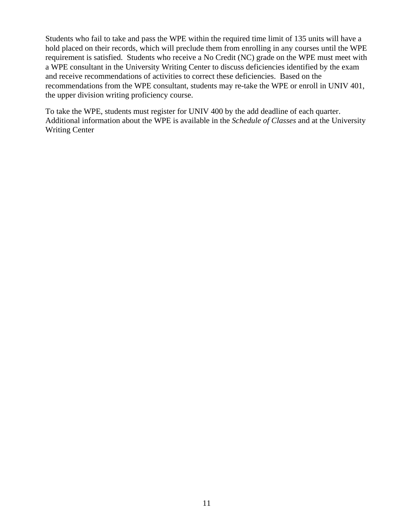Students who fail to take and pass the WPE within the required time limit of 135 units will have a hold placed on their records, which will preclude them from enrolling in any courses until the WPE requirement is satisfied. Students who receive a No Credit (NC) grade on the WPE must meet with a WPE consultant in the University Writing Center to discuss deficiencies identified by the exam and receive recommendations of activities to correct these deficiencies. Based on the recommendations from the WPE consultant, students may re-take the WPE or enroll in UNIV 401, the upper division writing proficiency course.

To take the WPE, students must register for UNIV 400 by the add deadline of each quarter. Additional information about the WPE is available in the *Schedule of Classes* and at the University Writing Center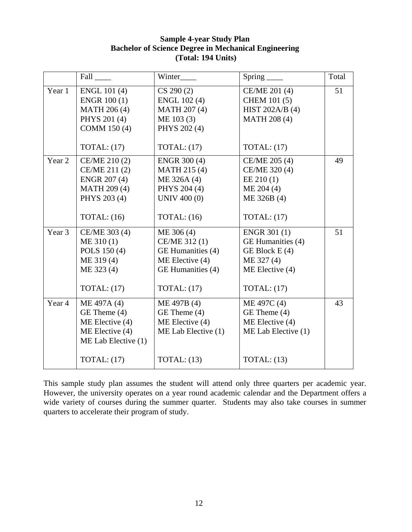#### **Sample 4-year Study Plan Bachelor of Science Degree in Mechanical Engineering (Total: 194 Units)**

|        | Fall                | Winter              | $Spring$ <sub>____</sub> | Total |
|--------|---------------------|---------------------|--------------------------|-------|
| Year 1 | <b>ENGL 101 (4)</b> | CS 290(2)           | CE/ME 201 (4)            | 51    |
|        | <b>ENGR 100 (1)</b> | ENGL 102 (4)        | <b>CHEM 101 (5)</b>      |       |
|        | <b>MATH 206 (4)</b> | <b>MATH 207 (4)</b> | HIST 202A/B $(4)$        |       |
|        | PHYS 201 (4)        | ME 103 (3)          | <b>MATH 208 (4)</b>      |       |
|        | COMM 150 (4)        | PHYS 202 (4)        |                          |       |
|        |                     |                     |                          |       |
|        | TOTAL: $(17)$       | TOTAL: $(17)$       | TOTAL: $(17)$            |       |
| Year 2 | CE/ME 210 (2)       | ENGR 300 (4)        | CE/ME 205 (4)            | 49    |
|        | CE/ME 211 (2)       | MATH 215 (4)        | CE/ME 320 (4)            |       |
|        | <b>ENGR 207 (4)</b> | ME 326A (4)         | EE 210(1)                |       |
|        | <b>MATH 209 (4)</b> | PHYS 204 (4)        | ME 204 (4)               |       |
|        | PHYS 203 (4)        | UNIV 400 (0)        | ME 326B (4)              |       |
|        |                     |                     |                          |       |
|        | TOTAL: $(16)$       | TOTAL: $(16)$       | TOTAL: $(17)$            |       |
| Year 3 | CE/ME 303 (4)       | ME 306 (4)          | <b>ENGR 301 (1)</b>      | 51    |
|        | ME 310(1)           | CE/ME 312 (1)       | GE Humanities (4)        |       |
|        | POLS 150 (4)        | GE Humanities (4)   | GE Block E (4)           |       |
|        | ME 319(4)           | $ME$ Elective $(4)$ | ME 327 (4)               |       |
|        | ME 323 (4)          | GE Humanities (4)   | ME Elective (4)          |       |
|        |                     |                     |                          |       |
|        | TOTAL: $(17)$       | TOTAL: $(17)$       | TOTAL: $(17)$            |       |
| Year 4 | ME 497A (4)         | ME 497B (4)         | ME 497C (4)              | 43    |
|        | GE Theme (4)        | GE Theme (4)        | GE Theme (4)             |       |
|        | ME Elective (4)     | ME Elective $(4)$   | ME Elective (4)          |       |
|        | ME Elective (4)     | ME Lab Elective (1) | ME Lab Elective (1)      |       |
|        | ME Lab Elective (1) |                     |                          |       |
|        | TOTAL: $(17)$       | TOTAL: $(13)$       | TOTAL: $(13)$            |       |
|        |                     |                     |                          |       |

This sample study plan assumes the student will attend only three quarters per academic year. However, the university operates on a year round academic calendar and the Department offers a wide variety of courses during the summer quarter. Students may also take courses in summer quarters to accelerate their program of study.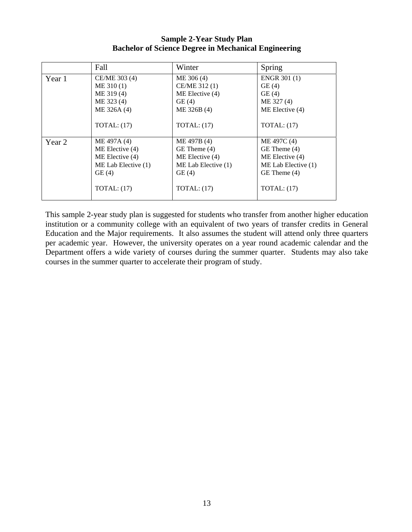**Sample 2-Year Study Plan Bachelor of Science Degree in Mechanical Engineering** 

|        | Fall                  | Winter                  | Spring                |
|--------|-----------------------|-------------------------|-----------------------|
| Year 1 | CE/ME 303 (4)         | ME 306 (4)              | <b>ENGR 301 (1)</b>   |
|        | ME 310(1)             | CE/ME 312 (1)           | GE(4)                 |
|        | ME 319(4)             | ME Elective (4)         | GE(4)                 |
|        | ME 323 (4)            | GE(4)                   | ME 327 (4)            |
|        | ME 326A (4)           | ME 326B (4)             | ME Elective (4)       |
|        | TOTAL: $(17)$         | TOTAL: (17)             | TOTAL: $(17)$         |
| Year 2 | ME 497A (4)           | ME 497B (4)             | ME 497C (4)           |
|        | ME Elective (4)       | GE Theme (4)            | $GE$ Theme $(4)$      |
|        | ME Elective (4)       | ME Elective (4)         | ME Elective (4)       |
|        | ME Lab Elective $(1)$ | $ME$ Lab Elective $(1)$ | ME Lab Elective $(1)$ |
|        | GE(4)                 | GE(4)                   | GE Theme (4)          |
|        | TOTAL: $(17)$         | TOTAL: (17)             | TOTAL: (17)           |

This sample 2-year study plan is suggested for students who transfer from another higher education institution or a community college with an equivalent of two years of transfer credits in General Education and the Major requirements. It also assumes the student will attend only three quarters per academic year. However, the university operates on a year round academic calendar and the Department offers a wide variety of courses during the summer quarter. Students may also take courses in the summer quarter to accelerate their program of study.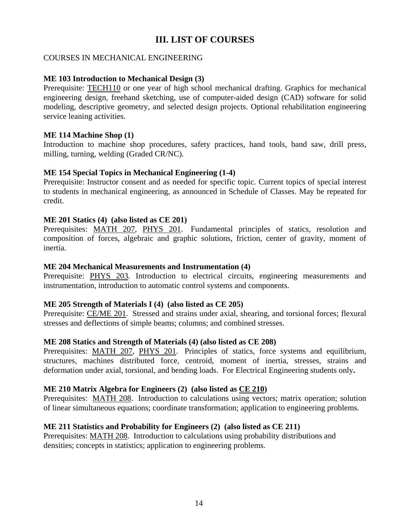## **III. LIST OF COURSES**

#### COURSES IN MECHANICAL ENGINEERING

#### **ME 103 Introduction to Mechanical Design (3)**

Prerequisite: TECH110 or one year of high school mechanical drafting. Graphics for mechanical engineering design, freehand sketching, use of computer-aided design (CAD) software for solid modeling, descriptive geometry, and selected design projects. Optional rehabilitation engineering service leaning activities.

#### **ME 114 Machine Shop (1)**

Introduction to machine shop procedures, safety practices, hand tools, band saw, drill press, milling, turning, welding (Graded CR/NC).

#### **ME 154 Special Topics in Mechanical Engineering (1-4)**

Prerequisite: Instructor consent and as needed for specific topic. Current topics of special interest to students in mechanical engineering, as announced in Schedule of Classes. May be repeated for credit.

#### **ME 201 Statics (4) (also listed as CE 201)**

Prerequisites: MATH 207, PHYS 201. Fundamental principles of statics, resolution and composition of forces, algebraic and graphic solutions, friction, center of gravity, moment of inertia.

#### **ME 204 Mechanical Measurements and Instrumentation (4)**

Prerequisite: PHYS 203. Introduction to electrical circuits, engineering measurements and instrumentation, introduction to automatic control systems and components.

#### **ME 205 Strength of Materials I (4) (also listed as CE 205)**

Prerequisite: CE/ME 201. Stressed and strains under axial, shearing, and torsional forces; flexural stresses and deflections of simple beams; columns; and combined stresses.

#### **ME 208 Statics and Strength of Materials (4) (also listed as CE 208)**

Prerequisites: MATH 207, PHYS 201. Principles of statics, force systems and equilibrium, structures, machines distributed force, centroid, moment of inertia, stresses, strains and deformation under axial, torsional, and bending loads. For Electrical Engineering students only**.**

#### **ME 210 Matrix Algebra for Engineers (2) (also listed as CE 210)**

Prerequisites: MATH 208. Introduction to calculations using vectors; matrix operation; solution of linear simultaneous equations; coordinate transformation; application to engineering problems.

#### **ME 211 Statistics and Probability for Engineers (2) (also listed as CE 211)**

Prerequisites: MATH 208. Introduction to calculations using probability distributions and densities; concepts in statistics; application to engineering problems.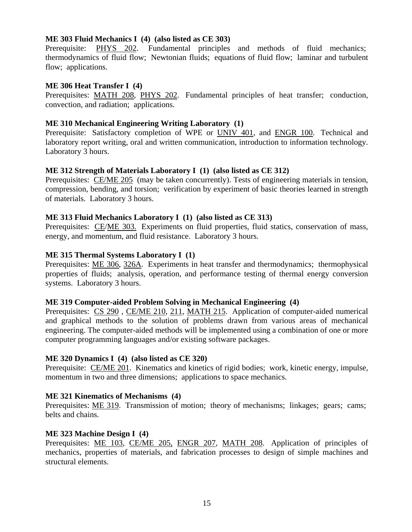#### **ME 303 Fluid Mechanics I (4) (also listed as CE 303)**

Prerequisite: PHYS 202. Fundamental principles and methods of fluid mechanics; thermodynamics of fluid flow; Newtonian fluids; equations of fluid flow; laminar and turbulent flow; applications.

#### **ME 306 Heat Transfer I (4)**

Prerequisites: MATH 208, PHYS 202. Fundamental principles of heat transfer; conduction, convection, and radiation; applications.

#### **ME 310 Mechanical Engineering Writing Laboratory (1)**

Prerequisite: Satisfactory completion of WPE or UNIV 401, and ENGR 100. Technical and laboratory report writing, oral and written communication, introduction to information technology. Laboratory 3 hours.

#### **ME 312 Strength of Materials Laboratory I (1) (also listed as CE 312)**

Prerequisites: CE/ME 205 (may be taken concurrently). Tests of engineering materials in tension, compression, bending, and torsion; verification by experiment of basic theories learned in strength of materials. Laboratory 3 hours.

#### **ME 313 Fluid Mechanics Laboratory I (1) (also listed as CE 313)**

Prerequisites: CE/ME 303. Experiments on fluid properties, fluid statics, conservation of mass, energy, and momentum, and fluid resistance. Laboratory 3 hours.

#### **ME 315 Thermal Systems Laboratory I (1)**

Prerequisites: <u>ME 306, 326A</u>. Experiments in heat transfer and thermodynamics; thermophysical properties of fluids; analysis, operation, and performance testing of thermal energy conversion systems. Laboratory 3 hours.

#### **ME 319 Computer-aided Problem Solving in Mechanical Engineering (4)**

Prerequisites: CS 290, CE/ME 210, 211, MATH 215. Application of computer-aided numerical and graphical methods to the solution of problems drawn from various areas of mechanical engineering. The computer-aided methods will be implemented using a combination of one or more computer programming languages and/or existing software packages.

#### **ME 320 Dynamics I (4) (also listed as CE 320)**

Prerequisite: CE/ME 201. Kinematics and kinetics of rigid bodies; work, kinetic energy, impulse, momentum in two and three dimensions; applications to space mechanics.

#### **ME 321 Kinematics of Mechanisms (4)**

Prerequisites: ME 319. Transmission of motion; theory of mechanisms; linkages; gears; cams; belts and chains.

#### **ME 323 Machine Design I (4)**

Prerequisites: ME 103, CE/ME 205, ENGR 207, MATH 208. Application of principles of mechanics, properties of materials, and fabrication processes to design of simple machines and structural elements.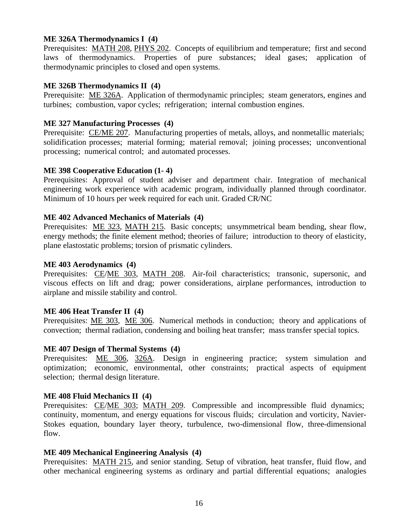#### **ME 326A Thermodynamics I (4)**

Prerequisites: MATH 208, PHYS 202. Concepts of equilibrium and temperature; first and second laws of thermodynamics. Properties of pure substances; ideal gases; application of thermodynamic principles to closed and open systems.

#### **ME 326B Thermodynamics II (4)**

Prerequisite: ME 326A. Application of thermodynamic principles; steam generators, engines and turbines; combustion, vapor cycles; refrigeration; internal combustion engines.

#### **ME 327 Manufacturing Processes (4)**

Prerequisite: CE/ME 207. Manufacturing properties of metals, alloys, and nonmetallic materials; solidification processes; material forming; material removal; joining processes; unconventional processing; numerical control; and automated processes.

#### **ME 398 Cooperative Education (1- 4)**

Prerequisites: Approval of student adviser and department chair. Integration of mechanical engineering work experience with academic program, individually planned through coordinator. Minimum of 10 hours per week required for each unit. Graded CR/NC

#### **ME 402 Advanced Mechanics of Materials (4)**

Prerequisites: ME 323, MATH 215. Basic concepts; unsymmetrical beam bending, shear flow, energy methods; the finite element method; theories of failure; introduction to theory of elasticity, plane elastostatic problems; torsion of prismatic cylinders.

#### **ME 403 Aerodynamics (4)**

Prerequisites: CE/ME 303, MATH 208. Air-foil characteristics; transonic, supersonic, and viscous effects on lift and drag; power considerations, airplane performances, introduction to airplane and missile stability and control.

#### **ME 406 Heat Transfer II (4)**

Prerequisites: <u>ME 303</u>, ME 306. Numerical methods in conduction; theory and applications of convection; thermal radiation, condensing and boiling heat transfer; mass transfer special topics.

#### **ME 407 Design of Thermal Systems (4)**

Prerequisites: ME 306, 326A. Design in engineering practice; system simulation and optimization; economic, environmental, other constraints; practical aspects of equipment selection; thermal design literature.

#### **ME 408 Fluid Mechanics II (4)**

Prerequisites: CE/ME 303; MATH 209. Compressible and incompressible fluid dynamics; continuity, momentum, and energy equations for viscous fluids; circulation and vorticity, Navier-Stokes equation, boundary layer theory, turbulence, two-dimensional flow, three-dimensional flow.

#### **ME 409 Mechanical Engineering Analysis (4)**

Prerequisites: MATH 215, and senior standing. Setup of vibration, heat transfer, fluid flow, and other mechanical engineering systems as ordinary and partial differential equations; analogies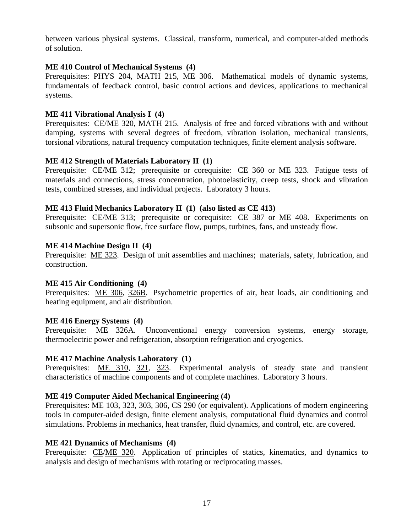between various physical systems. Classical, transform, numerical, and computer-aided methods of solution.

#### **ME 410 Control of Mechanical Systems (4)**

Prerequisites: PHYS 204, MATH 215, ME 306. Mathematical models of dynamic systems, fundamentals of feedback control, basic control actions and devices, applications to mechanical systems.

#### **ME 411 Vibrational Analysis I (4)**

Prerequisites: CE/ME 320, MATH 215. Analysis of free and forced vibrations with and without damping, systems with several degrees of freedom, vibration isolation, mechanical transients, torsional vibrations, natural frequency computation techniques, finite element analysis software.

#### **ME 412 Strength of Materials Laboratory II (1)**

Prerequisite: CE/ME 312; prerequisite or corequisite: CE 360 or ME 323. Fatigue tests of materials and connections, stress concentration, photoelasticity, creep tests, shock and vibration tests, combined stresses, and individual projects. Laboratory 3 hours.

#### **ME 413 Fluid Mechanics Laboratory II (1) (also listed as CE 413)**

Prerequisite: CE/ME 313; prerequisite or corequisite: CE 387 or ME 408. Experiments on subsonic and supersonic flow, free surface flow, pumps, turbines, fans, and unsteady flow.

#### **ME 414 Machine Design II (4)**

Prerequisite: ME 323. Design of unit assemblies and machines; materials, safety, lubrication, and construction.

#### **ME 415 Air Conditioning (4)**

Prerequisites: ME 306, 326B. Psychometric properties of air, heat loads, air conditioning and heating equipment, and air distribution.

#### **ME 416 Energy Systems (4)**

Prerequisite: ME 326A. Unconventional energy conversion systems, energy storage, thermoelectric power and refrigeration, absorption refrigeration and cryogenics.

#### **ME 417 Machine Analysis Laboratory (1)**

Prerequisites: ME 310, 321, 323. Experimental analysis of steady state and transient characteristics of machine components and of complete machines. Laboratory 3 hours.

#### **ME 419 Computer Aided Mechanical Engineering (4)**

Prerequisites: <u>ME 103, 323, 303, 306, CS 290</u> (or equivalent). Applications of modern engineering tools in computer-aided design, finite element analysis, computational fluid dynamics and control simulations. Problems in mechanics, heat transfer, fluid dynamics, and control, etc. are covered.

#### **ME 421 Dynamics of Mechanisms (4)**

Prerequisite: CE/ME 320. Application of principles of statics, kinematics, and dynamics to analysis and design of mechanisms with rotating or reciprocating masses.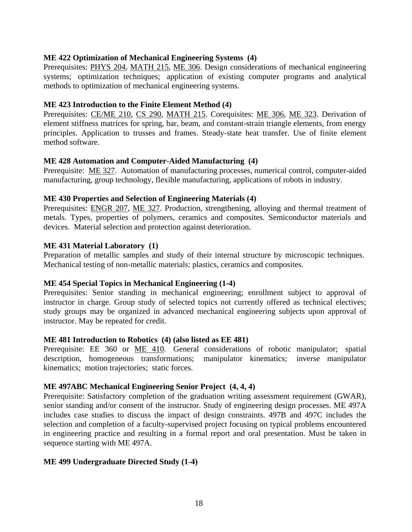#### **ME 422 Optimization of Mechanical Engineering Systems (4)**

Prerequisites: PHYS 204, MATH 215, ME 306. Design considerations of mechanical engineering systems; optimization techniques; application of existing computer programs and analytical methods to optimization of mechanical engineering systems.

#### **ME 423 Introduction to the Finite Element Method (4)**

Prerequisites: CE/ME 210, CS 290, MATH 215. Corequisites: ME 306, ME 323. Derivation of element stiffness matrices for spring, bar, beam, and constant-strain triangle elements, from energy principles. Application to trusses and frames. Steady-state heat transfer. Use of finite element method software.

#### **ME 428 Automation and Computer-Aided Manufacturing (4)**

Prerequisite: ME 327. Automation of manufacturing processes, numerical control, computer-aided manufacturing, group technology, flexible manufacturing, applications of robots in industry.

#### **ME 430 Properties and Selection of Engineering Materials (4)**

Prerequisites: ENGR 207, ME 327. Production, strengthening, alloying and thermal treatment of metals. Types, properties of polymers, ceramics and composites. Semiconductor materials and devices. Material selection and protection against deterioration.

#### **ME 431 Material Laboratory (1)**

Preparation of metallic samples and study of their internal structure by microscopic techniques. Mechanical testing of non-metallic materials: plastics, ceramics and composites.

#### **ME 454 Special Topics in Mechanical Engineering (1-4)**

Prerequisites: Senior standing in mechanical engineering; enrollment subject to approval of instructor in charge. Group study of selected topics not currently offered as technical electives; study groups may be organized in advanced mechanical engineering subjects upon approval of instructor. May be repeated for credit.

#### **ME 481 Introduction to Robotics (4) (also listed as EE 481)**

Prerequisite: EE 360 or ME 410. General considerations of robotic manipulator; spatial description, homogeneous transformations; manipulator kinematics; inverse manipulator kinematics; motion trajectories; static forces.

#### **ME 497ABC Mechanical Engineering Senior Project (4, 4, 4)**

Prerequisite: Satisfactory completion of the graduation writing assessment requirement (GWAR), senior standing and/or consent of the instructor. Study of engineering design processes. ME 497A includes case studies to discuss the impact of design constraints. 497B and 497C includes the selection and completion of a faculty-supervised project focusing on typical problems encountered in engineering practice and resulting in a formal report and oral presentation. Must be taken in sequence starting with ME 497A.

#### **ME 499 Undergraduate Directed Study (1-4)**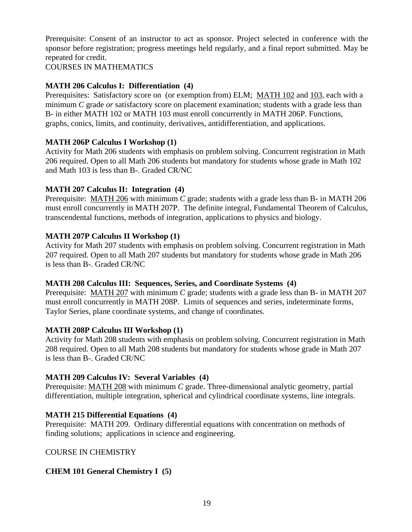Prerequisite: Consent of an instructor to act as sponsor. Project selected in conference with the sponsor before registration; progress meetings held regularly, and a final report submitted. May be repeated for credit.

COURSES IN MATHEMATICS

## **MATH 206 Calculus I: Differentiation (4)**

Prerequisites: Satisfactory score on (or exemption from) ELM; MATH 102 and 103, each with a minimum *C* grade *or* satisfactory score on placement examination; students with a grade less than B- in either MATH 102 or MATH 103 must enroll concurrently in MATH 206P. Functions, graphs, conics, limits, and continuity, derivatives, antidifferentiation, and applications.

#### **MATH 206P Calculus I Workshop (1)**

Activity for Math 206 students with emphasis on problem solving. Concurrent registration in Math 206 required. Open to all Math 206 students but mandatory for students whose grade in Math 102 and Math 103 is less than B-. Graded CR/NC

## **MATH 207 Calculus II: Integration (4)**

Prerequisite: MATH 206 with minimum *C* grade; students with a grade less than B- in MATH 206 must enroll concurrently in MATH 207P. The definite integral, Fundamental Theorem of Calculus, transcendental functions, methods of integration, applications to physics and biology.

#### **MATH 207P Calculus II Workshop (1)**

Activity for Math 207 students with emphasis on problem solving. Concurrent registration in Math 207 required. Open to all Math 207 students but mandatory for students whose grade in Math 206 is less than B-. Graded CR/NC

#### **MATH 208 Calculus III: Sequences, Series, and Coordinate Systems (4)**

Prerequisite: MATH 207 with minimum *C* grade; students with a grade less than B- in MATH 207 must enroll concurrently in MATH 208P. Limits of sequences and series, indeterminate forms, Taylor Series, plane coordinate systems, and change of coordinates.

#### **MATH 208P Calculus III Workshop (1)**

Activity for Math 208 students with emphasis on problem solving. Concurrent registration in Math 208 required. Open to all Math 208 students but mandatory for students whose grade in Math 207 is less than B-. Graded CR/NC

#### **MATH 209 Calculus IV: Several Variables (4)**

Prerequisite: MATH 208 with minimum *C* grade. Three-dimensional analytic geometry, partial differentiation, multiple integration, spherical and cylindrical coordinate systems, line integrals.

## **MATH 215 Differential Equations (4)**

Prerequisite: MATH 209. Ordinary differential equations with concentration on methods of finding solutions; applications in science and engineering.

COURSE IN CHEMISTRY

## **CHEM 101 General Chemistry I (5)**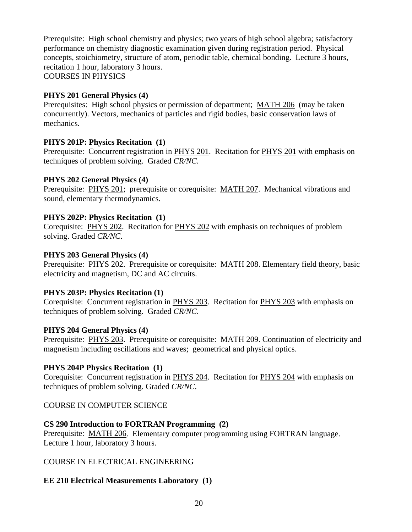Prerequisite: High school chemistry and physics; two years of high school algebra; satisfactory performance on chemistry diagnostic examination given during registration period. Physical concepts, stoichiometry, structure of atom, periodic table, chemical bonding. Lecture 3 hours, recitation 1 hour, laboratory 3 hours. COURSES IN PHYSICS

#### **PHYS 201 General Physics (4)**

Prerequisites: High school physics or permission of department; MATH 206 (may be taken concurrently). Vectors, mechanics of particles and rigid bodies, basic conservation laws of mechanics.

#### **PHYS 201P: Physics Recitation (1)**

Prerequisite: Concurrent registration in PHYS 201. Recitation for PHYS 201 with emphasis on techniques of problem solving. Graded *CR/NC*.

#### **PHYS 202 General Physics (4)**

Prerequisite: PHYS 201; prerequisite or corequisite: MATH 207. Mechanical vibrations and sound, elementary thermodynamics.

#### **PHYS 202P: Physics Recitation (1)**

Corequisite: PHYS 202. Recitation for PHYS 202 with emphasis on techniques of problem solving. Graded *CR/NC*.

#### **PHYS 203 General Physics (4)**

Prerequisite: PHYS 202. Prerequisite or corequisite: MATH 208. Elementary field theory, basic electricity and magnetism, DC and AC circuits.

#### **PHYS 203P: Physics Recitation (1)**

Corequisite: Concurrent registration in PHYS 203. Recitation for PHYS 203 with emphasis on techniques of problem solving. Graded *CR/NC*.

#### **PHYS 204 General Physics (4)**

Prerequisite: PHYS 203. Prerequisite or corequisite: MATH 209. Continuation of electricity and magnetism including oscillations and waves; geometrical and physical optics.

#### **PHYS 204P Physics Recitation (1)**

Corequisite: Concurrent registration in PHYS 204. Recitation for PHYS 204 with emphasis on techniques of problem solving. Graded *CR/NC*.

## COURSE IN COMPUTER SCIENCE

## **CS 290 Introduction to FORTRAN Programming (2)**

Prerequisite: MATH 206. Elementary computer programming using FORTRAN language. Lecture 1 hour, laboratory 3 hours.

## COURSE IN ELECTRICAL ENGINEERING

## **EE 210 Electrical Measurements Laboratory (1)**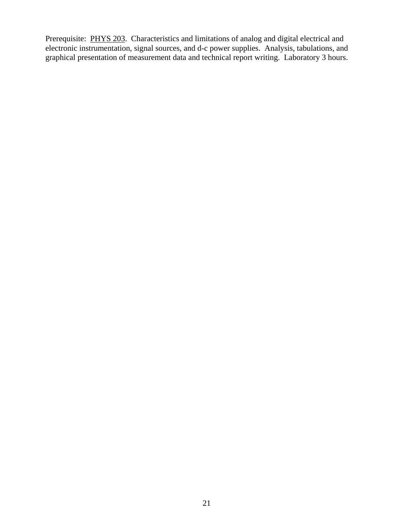Prerequisite: PHYS 203. Characteristics and limitations of analog and digital electrical and electronic instrumentation, signal sources, and d-c power supplies. Analysis, tabulations, and graphical presentation of measurement data and technical report writing. Laboratory 3 hours.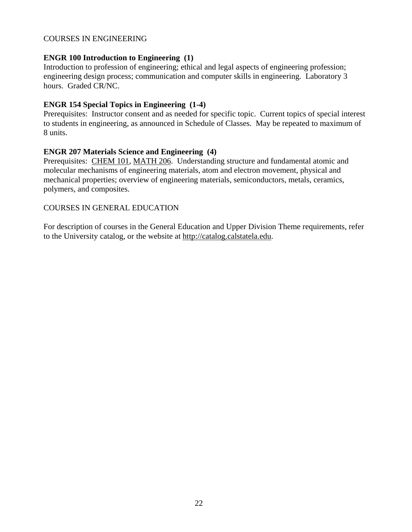#### COURSES IN ENGINEERING

#### **ENGR 100 Introduction to Engineering (1)**

Introduction to profession of engineering; ethical and legal aspects of engineering profession; engineering design process; communication and computer skills in engineering. Laboratory 3 hours. Graded CR/NC.

#### **ENGR 154 Special Topics in Engineering (1-4)**

Prerequisites: Instructor consent and as needed for specific topic. Current topics of special interest to students in engineering, as announced in Schedule of Classes. May be repeated to maximum of 8 units.

#### **ENGR 207 Materials Science and Engineering (4)**

Prerequisites: CHEM 101, MATH 206. Understanding structure and fundamental atomic and molecular mechanisms of engineering materials, atom and electron movement, physical and mechanical properties; overview of engineering materials, semiconductors, metals, ceramics, polymers, and composites.

#### COURSES IN GENERAL EDUCATION

For description of courses in the General Education and Upper Division Theme requirements, refer to the University catalog, or the website at http://catalog.calstatela.edu.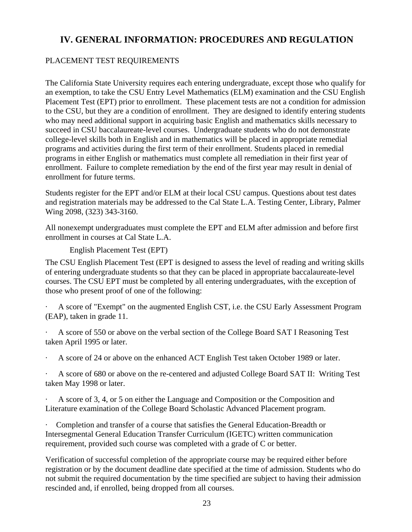## **IV. GENERAL INFORMATION: PROCEDURES AND REGULATION**

#### PLACEMENT TEST REQUIREMENTS

The California State University requires each entering undergraduate, except those who qualify for an exemption, to take the CSU Entry Level Mathematics (ELM) examination and the CSU English Placement Test (EPT) prior to enrollment. These placement tests are not a condition for admission to the CSU, but they are a condition of enrollment. They are designed to identify entering students who may need additional support in acquiring basic English and mathematics skills necessary to succeed in CSU baccalaureate-level courses. Undergraduate students who do not demonstrate college-level skills both in English and in mathematics will be placed in appropriate remedial programs and activities during the first term of their enrollment. Students placed in remedial programs in either English or mathematics must complete all remediation in their first year of enrollment. Failure to complete remediation by the end of the first year may result in denial of enrollment for future terms.

Students register for the EPT and/or ELM at their local CSU campus. Questions about test dates and registration materials may be addressed to the Cal State L.A. Testing Center, Library, Palmer Wing 2098, (323) 343-3160.

All nonexempt undergraduates must complete the EPT and ELM after admission and before first enrollment in courses at Cal State L.A.

English Placement Test (EPT)

The CSU English Placement Test (EPT is designed to assess the level of reading and writing skills of entering undergraduate students so that they can be placed in appropriate baccalaureate-level courses. The CSU EPT must be completed by all entering undergraduates, with the exception of those who present proof of one of the following:

· A score of "Exempt" on the augmented English CST, i.e. the CSU Early Assessment Program (EAP), taken in grade 11.

· A score of 550 or above on the verbal section of the College Board SAT I Reasoning Test taken April 1995 or later.

· A score of 24 or above on the enhanced ACT English Test taken October 1989 or later.

· A score of 680 or above on the re-centered and adjusted College Board SAT II: Writing Test taken May 1998 or later.

· A score of 3, 4, or 5 on either the Language and Composition or the Composition and Literature examination of the College Board Scholastic Advanced Placement program.

· Completion and transfer of a course that satisfies the General Education-Breadth or Intersegmental General Education Transfer Curriculum (IGETC) written communication requirement, provided such course was completed with a grade of C or better.

Verification of successful completion of the appropriate course may be required either before registration or by the document deadline date specified at the time of admission. Students who do not submit the required documentation by the time specified are subject to having their admission rescinded and, if enrolled, being dropped from all courses.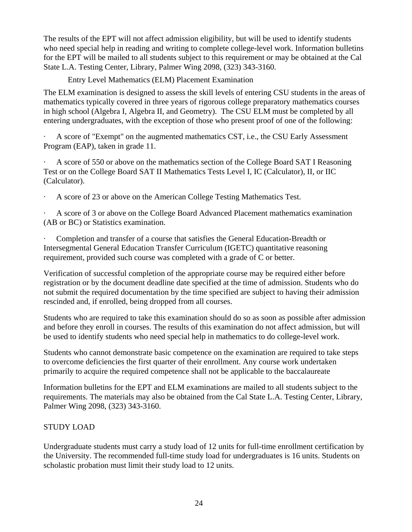The results of the EPT will not affect admission eligibility, but will be used to identify students who need special help in reading and writing to complete college-level work. Information bulletins for the EPT will be mailed to all students subject to this requirement or may be obtained at the Cal State L.A. Testing Center, Library, Palmer Wing 2098, (323) 343-3160.

Entry Level Mathematics (ELM) Placement Examination

The ELM examination is designed to assess the skill levels of entering CSU students in the areas of mathematics typically covered in three years of rigorous college preparatory mathematics courses in high school (Algebra I, Algebra II, and Geometry). The CSU ELM must be completed by all entering undergraduates, with the exception of those who present proof of one of the following:

· A score of "Exempt" on the augmented mathematics CST, i.e., the CSU Early Assessment Program (EAP), taken in grade 11.

A score of 550 or above on the mathematics section of the College Board SAT I Reasoning Test or on the College Board SAT II Mathematics Tests Level I, IC (Calculator), II, or IIC (Calculator).

· A score of 23 or above on the American College Testing Mathematics Test.

A score of 3 or above on the College Board Advanced Placement mathematics examination (AB or BC) or Statistics examination.

· Completion and transfer of a course that satisfies the General Education-Breadth or Intersegmental General Education Transfer Curriculum (IGETC) quantitative reasoning requirement, provided such course was completed with a grade of C or better.

Verification of successful completion of the appropriate course may be required either before registration or by the document deadline date specified at the time of admission. Students who do not submit the required documentation by the time specified are subject to having their admission rescinded and, if enrolled, being dropped from all courses.

Students who are required to take this examination should do so as soon as possible after admission and before they enroll in courses. The results of this examination do not affect admission, but will be used to identify students who need special help in mathematics to do college-level work.

Students who cannot demonstrate basic competence on the examination are required to take steps to overcome deficiencies the first quarter of their enrollment. Any course work undertaken primarily to acquire the required competence shall not be applicable to the baccalaureate

Information bulletins for the EPT and ELM examinations are mailed to all students subject to the requirements. The materials may also be obtained from the Cal State L.A. Testing Center, Library, Palmer Wing 2098, (323) 343-3160.

## STUDY LOAD

Undergraduate students must carry a study load of 12 units for full-time enrollment certification by the University. The recommended full-time study load for undergraduates is 16 units. Students on scholastic probation must limit their study load to 12 units.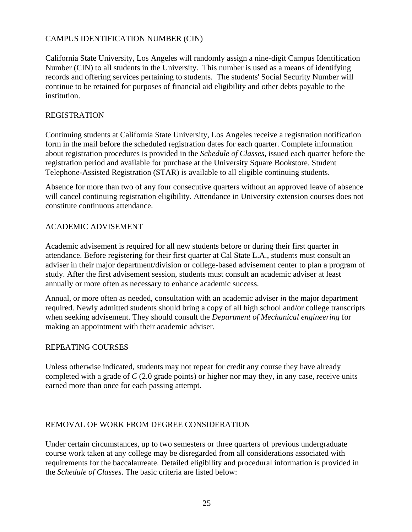#### CAMPUS IDENTIFICATION NUMBER (CIN)

California State University, Los Angeles will randomly assign a nine-digit Campus Identification Number (CIN) to all students in the University. This number is used as a means of identifying records and offering services pertaining to students. The students' Social Security Number will continue to be retained for purposes of financial aid eligibility and other debts payable to the institution.

#### REGISTRATION

Continuing students at California State University, Los Angeles receive a registration notification form in the mail before the scheduled registration dates for each quarter. Complete information about registration procedures is provided in the *Schedule of Classes,* issued each quarter before the registration period and available for purchase at the University Square Bookstore. Student Telephone-Assisted Registration (STAR) is available to all eligible continuing students.

Absence for more than two of any four consecutive quarters without an approved leave of absence will cancel continuing registration eligibility. Attendance in University extension courses does not constitute continuous attendance.

#### ACADEMIC ADVISEMENT

Academic advisement is required for all new students before or during their first quarter in attendance. Before registering for their first quarter at Cal State L.A., students must consult an adviser in their major department/division or college-based advisement center to plan a program of study. After the first advisement session, students must consult an academic adviser at least annually or more often as necessary to enhance academic success.

Annual, or more often as needed, consultation with an academic adviser *in* the major department required. Newly admitted students should bring a copy of all high school and/or college transcripts when seeking advisement. They should consult the *Department of Mechanical engineering* for making an appointment with their academic adviser.

#### REPEATING COURSES

Unless otherwise indicated, students may not repeat for credit any course they have already completed with a grade of *C* (2.0 grade points) or higher nor may they, in any case, receive units earned more than once for each passing attempt.

## REMOVAL OF WORK FROM DEGREE CONSIDERATION

Under certain circumstances, up to two semesters or three quarters of previous undergraduate course work taken at any college may be disregarded from all considerations associated with requirements for the baccalaureate. Detailed eligibility and procedural information is provided in the *Schedule of Classes*. The basic criteria are listed below: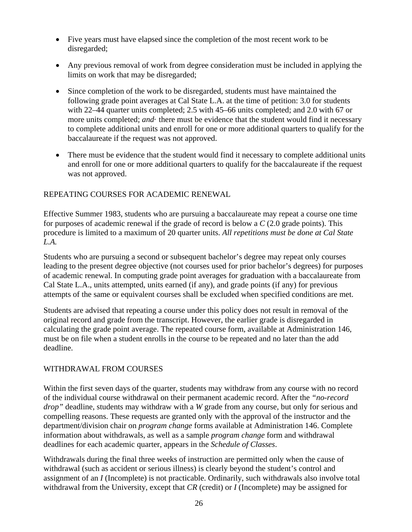- Five years must have elapsed since the completion of the most recent work to be disregarded;
- Any previous removal of work from degree consideration must be included in applying the limits on work that may be disregarded;
- Since completion of the work to be disregarded, students must have maintained the following grade point averages at Cal State L.A. at the time of petition: 3.0 for students with 22–44 quarter units completed; 2.5 with 45–66 units completed; and 2.0 with 67 or more units completed; *and*· there must be evidence that the student would find it necessary to complete additional units and enroll for one or more additional quarters to qualify for the baccalaureate if the request was not approved.
- There must be evidence that the student would find it necessary to complete additional units and enroll for one or more additional quarters to qualify for the baccalaureate if the request was not approved.

## REPEATING COURSES FOR ACADEMIC RENEWAL

Effective Summer 1983, students who are pursuing a baccalaureate may repeat a course one time for purposes of academic renewal if the grade of record is below a *C* (2.0 grade points). This procedure is limited to a maximum of 20 quarter units. *All repetitions must be done at Cal State L.A.*

Students who are pursuing a second or subsequent bachelor's degree may repeat only courses leading to the present degree objective (not courses used for prior bachelor's degrees) for purposes of academic renewal. In computing grade point averages for graduation with a baccalaureate from Cal State L.A., units attempted, units earned (if any), and grade points (if any) for previous attempts of the same or equivalent courses shall be excluded when specified conditions are met.

Students are advised that repeating a course under this policy does not result in removal of the original record and grade from the transcript. However, the earlier grade is disregarded in calculating the grade point average. The repeated course form, available at Administration 146, must be on file when a student enrolls in the course to be repeated and no later than the add deadline.

## WITHDRAWAL FROM COURSES

Within the first seven days of the quarter, students may withdraw from any course with no record of the individual course withdrawal on their permanent academic record. After the *"no-record drop"* deadline, students may withdraw with a *W* grade from any course, but only for serious and compelling reasons. These requests are granted only with the approval of the instructor and the department/division chair on *program change* forms available at Administration 146. Complete information about withdrawals, as well as a sample *program change* form and withdrawal deadlines for each academic quarter, appears in the *Schedule of Classes*.

Withdrawals during the final three weeks of instruction are permitted only when the cause of withdrawal (such as accident or serious illness) is clearly beyond the student's control and assignment of an *I* (Incomplete) is not practicable. Ordinarily, such withdrawals also involve total withdrawal from the University, except that *CR* (credit) or *I* (Incomplete) may be assigned for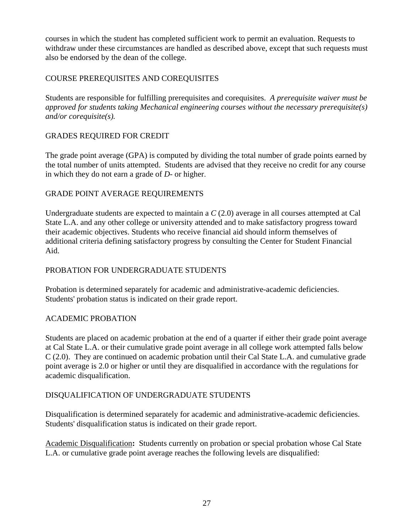courses in which the student has completed sufficient work to permit an evaluation. Requests to withdraw under these circumstances are handled as described above, except that such requests must also be endorsed by the dean of the college.

## COURSE PREREQUISITES AND COREQUISITES

Students are responsible for fulfilling prerequisites and corequisites. *A prerequisite waiver must be approved for students taking Mechanical engineering courses without the necessary prerequisite(s) and/or corequisite(s).* 

## GRADES REQUIRED FOR CREDIT

The grade point average (GPA) is computed by dividing the total number of grade points earned by the total number of units attempted. Students are advised that they receive no credit for any course in which they do not earn a grade of *D-* or higher.

## GRADE POINT AVERAGE REQUIREMENTS

Undergraduate students are expected to maintain a *C* (2.0) average in all courses attempted at Cal State L.A. and any other college or university attended and to make satisfactory progress toward their academic objectives. Students who receive financial aid should inform themselves of additional criteria defining satisfactory progress by consulting the Center for Student Financial Aid.

## PROBATION FOR UNDERGRADUATE STUDENTS

Probation is determined separately for academic and administrative-academic deficiencies. Students' probation status is indicated on their grade report.

#### ACADEMIC PROBATION

Students are placed on academic probation at the end of a quarter if either their grade point average at Cal State L.A. or their cumulative grade point average in all college work attempted falls below C (2.0). They are continued on academic probation until their Cal State L.A. and cumulative grade point average is 2.0 or higher or until they are disqualified in accordance with the regulations for academic disqualification.

## DISQUALIFICATION OF UNDERGRADUATE STUDENTS

Disqualification is determined separately for academic and administrative-academic deficiencies. Students' disqualification status is indicated on their grade report.

Academic Disqualification**:** Students currently on probation or special probation whose Cal State L.A. or cumulative grade point average reaches the following levels are disqualified: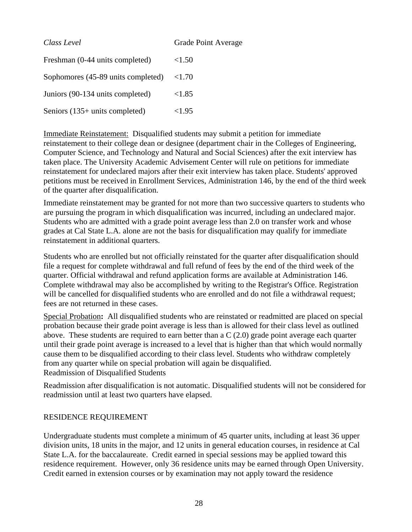| Class Level                        | Grade Point Average |
|------------------------------------|---------------------|
| Freshman (0-44 units completed)    | < 1.50              |
| Sophomores (45-89 units completed) | < 1.70              |
| Juniors (90-134 units completed)   | < 1.85              |
| Seniors (135+ units completed)     | <1.95               |

Immediate Reinstatement:Disqualified students may submit a petition for immediate reinstatement to their college dean or designee (department chair in the Colleges of Engineering, Computer Science, and Technology and Natural and Social Sciences) after the exit interview has taken place. The University Academic Advisement Center will rule on petitions for immediate reinstatement for undeclared majors after their exit interview has taken place. Students' approved petitions must be received in Enrollment Services, Administration 146, by the end of the third week of the quarter after disqualification.

Immediate reinstatement may be granted for not more than two successive quarters to students who are pursuing the program in which disqualification was incurred, including an undeclared major. Students who are admitted with a grade point average less than 2.0 on transfer work and whose grades at Cal State L.A. alone are not the basis for disqualification may qualify for immediate reinstatement in additional quarters.

Students who are enrolled but not officially reinstated for the quarter after disqualification should file a request for complete withdrawal and full refund of fees by the end of the third week of the quarter. Official withdrawal and refund application forms are available at Administration 146. Complete withdrawal may also be accomplished by writing to the Registrar's Office. Registration will be cancelled for disqualified students who are enrolled and do not file a withdrawal request; fees are not returned in these cases.

Special Probation**:** All disqualified students who are reinstated or readmitted are placed on special probation because their grade point average is less than is allowed for their class level as outlined above. These students are required to earn better than a C (2.0) grade point average each quarter until their grade point average is increased to a level that is higher than that which would normally cause them to be disqualified according to their class level. Students who withdraw completely from any quarter while on special probation will again be disqualified. Readmission of Disqualified Students

Readmission after disqualification is not automatic. Disqualified students will not be considered for readmission until at least two quarters have elapsed.

#### RESIDENCE REQUIREMENT

Undergraduate students must complete a minimum of 45 quarter units, including at least 36 upper division units, 18 units in the major, and 12 units in general education courses, in residence at Cal State L.A. for the baccalaureate. Credit earned in special sessions may be applied toward this residence requirement. However, only 36 residence units may be earned through Open University. Credit earned in extension courses or by examination may not apply toward the residence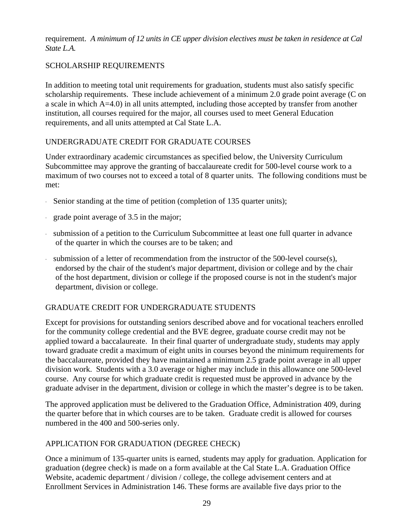requirement. *A minimum of 12 units in CE upper division electives must be taken in residence at Cal State L.A.* 

## SCHOLARSHIP REQUIREMENTS

In addition to meeting total unit requirements for graduation, students must also satisfy specific scholarship requirements. These include achievement of a minimum 2.0 grade point average (C on a scale in which A=4.0) in all units attempted, including those accepted by transfer from another institution, all courses required for the major, all courses used to meet General Education requirements, and all units attempted at Cal State L.A.

## UNDERGRADUATE CREDIT FOR GRADUATE COURSES

Under extraordinary academic circumstances as specified below, the University Curriculum Subcommittee may approve the granting of baccalaureate credit for 500-level course work to a maximum of two courses not to exceed a total of 8 quarter units. The following conditions must be met:

- · Senior standing at the time of petition (completion of 135 quarter units);
- · grade point average of 3.5 in the major;
- · submission of a petition to the Curriculum Subcommittee at least one full quarter in advance of the quarter in which the courses are to be taken; and
- · submission of a letter of recommendation from the instructor of the 500-level course(s), endorsed by the chair of the student's major department, division or college and by the chair of the host department, division or college if the proposed course is not in the student's major department, division or college.

## GRADUATE CREDIT FOR UNDERGRADUATE STUDENTS

Except for provisions for outstanding seniors described above and for vocational teachers enrolled for the community college credential and the BVE degree, graduate course credit may not be applied toward a baccalaureate. In their final quarter of undergraduate study, students may apply toward graduate credit a maximum of eight units in courses beyond the minimum requirements for the baccalaureate, provided they have maintained a minimum 2.5 grade point average in all upper division work. Students with a 3.0 average or higher may include in this allowance one 500-level course. Any course for which graduate credit is requested must be approved in advance by the graduate adviser in the department, division or college in which the master's degree is to be taken.

The approved application must be delivered to the Graduation Office, Administration 409, during the quarter before that in which courses are to be taken. Graduate credit is allowed for courses numbered in the 400 and 500-series only.

## APPLICATION FOR GRADUATION (DEGREE CHECK)

Once a minimum of 135-quarter units is earned, students may apply for graduation. Application for graduation (degree check) is made on a form available at the Cal State L.A. Graduation Office Website, academic department / division / college, the college advisement centers and at Enrollment Services in Administration 146. These forms are available five days prior to the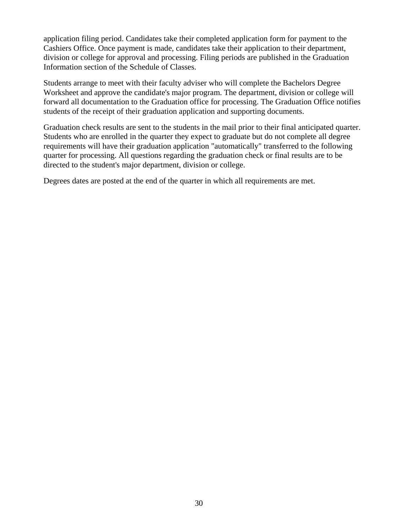application filing period. Candidates take their completed application form for payment to the Cashiers Office. Once payment is made, candidates take their application to their department, division or college for approval and processing. Filing periods are published in the Graduation Information section of the Schedule of Classes.

Students arrange to meet with their faculty adviser who will complete the Bachelors Degree Worksheet and approve the candidate's major program. The department, division or college will forward all documentation to the Graduation office for processing. The Graduation Office notifies students of the receipt of their graduation application and supporting documents.

Graduation check results are sent to the students in the mail prior to their final anticipated quarter. Students who are enrolled in the quarter they expect to graduate but do not complete all degree requirements will have their graduation application "automatically" transferred to the following quarter for processing. All questions regarding the graduation check or final results are to be directed to the student's major department, division or college.

Degrees dates are posted at the end of the quarter in which all requirements are met.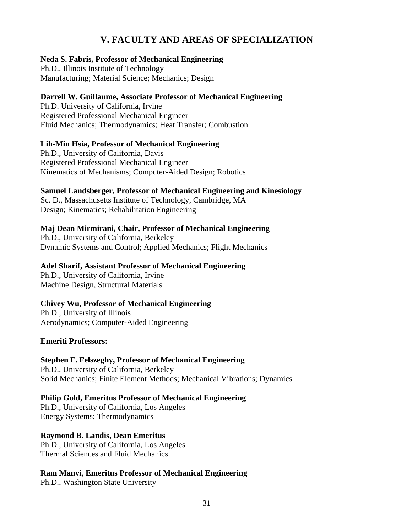## **V. FACULTY AND AREAS OF SPECIALIZATION**

#### **Neda S. Fabris, Professor of Mechanical Engineering**

Ph.D., Illinois Institute of Technology Manufacturing; Material Science; Mechanics; Design

#### **Darrell W. Guillaume, Associate Professor of Mechanical Engineering**

Ph.D. University of California, Irvine Registered Professional Mechanical Engineer Fluid Mechanics; Thermodynamics; Heat Transfer; Combustion

## **Lih-Min Hsia, Professor of Mechanical Engineering**

Ph.D., University of California, Davis Registered Professional Mechanical Engineer Kinematics of Mechanisms; Computer-Aided Design; Robotics

## **Samuel Landsberger, Professor of Mechanical Engineering and Kinesiology**

Sc. D., Massachusetts Institute of Technology, Cambridge, MA Design; Kinematics; Rehabilitation Engineering

#### **Maj Dean Mirmirani, Chair, Professor of Mechanical Engineering**

Ph.D., University of California, Berkeley Dynamic Systems and Control; Applied Mechanics; Flight Mechanics

#### **Adel Sharif, Assistant Professor of Mechanical Engineering**

Ph.D., University of California, Irvine Machine Design, Structural Materials

## **Chivey Wu, Professor of Mechanical Engineering**

Ph.D., University of Illinois Aerodynamics; Computer-Aided Engineering

#### **Emeriti Professors:**

**Stephen F. Felszeghy, Professor of Mechanical Engineering**  Ph.D., University of California, Berkeley Solid Mechanics; Finite Element Methods; Mechanical Vibrations; Dynamics

## **Philip Gold, Emeritus Professor of Mechanical Engineering**

Ph.D., University of California, Los Angeles Energy Systems; Thermodynamics

## **Raymond B. Landis, Dean Emeritus**

Ph.D., University of California, Los Angeles Thermal Sciences and Fluid Mechanics

## **Ram Manvi, Emeritus Professor of Mechanical Engineering**

Ph.D., Washington State University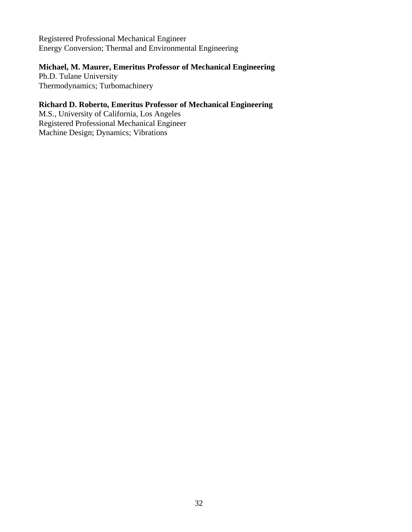Registered Professional Mechanical Engineer Energy Conversion; Thermal and Environmental Engineering

#### **Michael, M. Maurer, Emeritus Professor of Mechanical Engineering**

Ph.D. Tulane University Thermodynamics; Turbomachinery

## **Richard D. Roberto, Emeritus Professor of Mechanical Engineering**

M.S., University of California, Los Angeles Registered Professional Mechanical Engineer Machine Design; Dynamics; Vibrations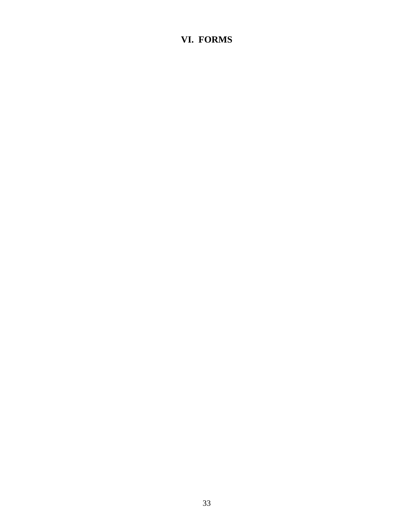## **VI. FORMS**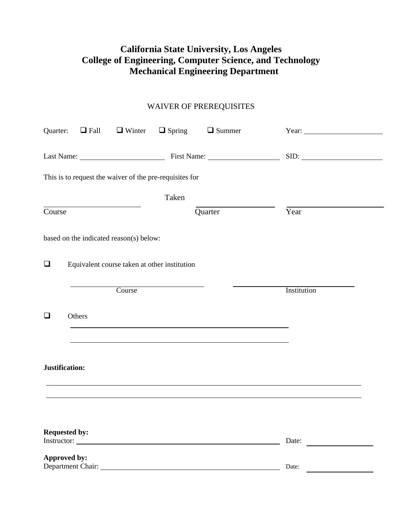## **California State University, Los Angeles College of Engineering, Computer Science, and Technology Mechanical Engineering Department**

## WAIVER OF PREREQUISITES

|        |                                   |                                                         |       | Quarter: $\Box$ Fall $\Box$ Winter $\Box$ Spring $\Box$ Summer |                    |  |
|--------|-----------------------------------|---------------------------------------------------------|-------|----------------------------------------------------------------|--------------------|--|
|        |                                   |                                                         |       |                                                                | SID:               |  |
|        |                                   | This is to request the waiver of the pre-requisites for |       |                                                                |                    |  |
|        |                                   |                                                         | Taken |                                                                |                    |  |
| Course |                                   |                                                         |       | Quarter                                                        | Year               |  |
|        |                                   | based on the indicated reason(s) below:                 |       |                                                                |                    |  |
| $\Box$ |                                   | Equivalent course taken at other institution            |       |                                                                |                    |  |
|        |                                   | Course                                                  |       |                                                                | <b>Institution</b> |  |
| $\Box$ | Others                            |                                                         |       |                                                                |                    |  |
|        |                                   |                                                         |       |                                                                |                    |  |
|        | Justification:                    |                                                         |       |                                                                |                    |  |
|        |                                   |                                                         |       |                                                                |                    |  |
|        | <b>Requested by:</b>              |                                                         |       |                                                                | Date:              |  |
|        | Approved by:<br>Department Chair: |                                                         |       |                                                                | Date:              |  |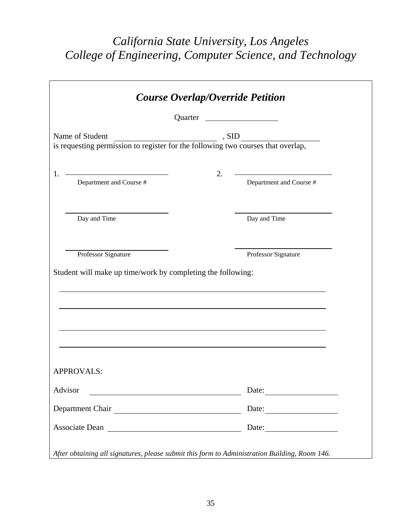## *California State University, Los Angeles College of Engineering, Computer Science, and Technology*

|                                                                                                                                 | Quarter _ | <u> 1989 - Johann Barbara, martin a</u>                         |  |  |
|---------------------------------------------------------------------------------------------------------------------------------|-----------|-----------------------------------------------------------------|--|--|
| Name of Student<br>. SID<br>Name of Student<br>is requesting permission to register for the following two courses that overlap, |           |                                                                 |  |  |
|                                                                                                                                 |           |                                                                 |  |  |
| Department and Course #<br>1.                                                                                                   | 2.        | <u> 1980 - Johann Barn, mars an t-Amerikaansk kommunister (</u> |  |  |
|                                                                                                                                 |           | Department and Course #                                         |  |  |
|                                                                                                                                 |           |                                                                 |  |  |
| Day and Time                                                                                                                    |           | Day and Time                                                    |  |  |
|                                                                                                                                 |           |                                                                 |  |  |
|                                                                                                                                 |           |                                                                 |  |  |
| Professor Signature                                                                                                             |           | Professor Signature                                             |  |  |
| Student will make up time/work by completing the following:                                                                     |           |                                                                 |  |  |
|                                                                                                                                 |           |                                                                 |  |  |
|                                                                                                                                 |           |                                                                 |  |  |
|                                                                                                                                 |           |                                                                 |  |  |
|                                                                                                                                 |           |                                                                 |  |  |
|                                                                                                                                 |           |                                                                 |  |  |
|                                                                                                                                 |           |                                                                 |  |  |
| <b>APPROVALS:</b>                                                                                                               |           |                                                                 |  |  |
| Advisor                                                                                                                         |           | Date:                                                           |  |  |
| Department Chair                                                                                                                |           | Date:                                                           |  |  |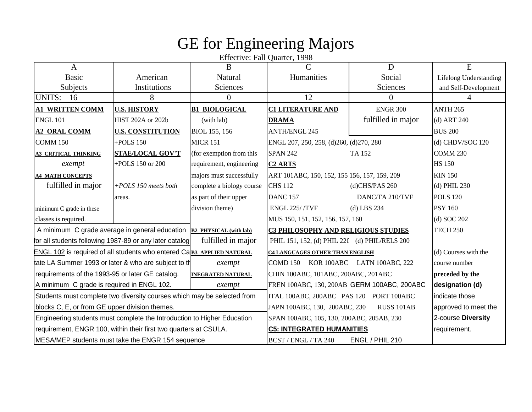# GE for Engineering Majors

Effective: Fall Quarter, 1998

| A                                                                             |                                                                         | B                         | $\mathcal{C}$                                 | D                  | E                             |
|-------------------------------------------------------------------------------|-------------------------------------------------------------------------|---------------------------|-----------------------------------------------|--------------------|-------------------------------|
| <b>Basic</b>                                                                  | American                                                                | Natural                   | Humanities                                    | Social             | <b>Lifelong Understanding</b> |
| Subjects<br>Institutions                                                      |                                                                         | <b>Sciences</b>           |                                               | <b>Sciences</b>    | and Self-Development          |
| <b>UNITS: 16</b>                                                              | 8                                                                       | 0                         | 12                                            | $\Omega$           |                               |
| <b>A1 WRITTEN COMM</b>                                                        | <b>U.S. HISTORY</b>                                                     | <b>B1 BIOLOGICAL</b>      | <b>C1 LITERATURE AND</b>                      | <b>ENGR 300</b>    | <b>ANTH 265</b>               |
| <b>ENGL 101</b>                                                               | HIST 202A or 202b                                                       | (with lab)                | <b>DRAMA</b>                                  | fulfilled in major | $(d)$ ART 240                 |
| <b>A2 ORAL COMM</b>                                                           | <b>U.S. CONSTITUTION</b>                                                | BIOL 155, 156             | <b>ANTH/ENGL 245</b>                          |                    | <b>BUS 200</b>                |
| <b>COMM 150</b>                                                               | $+$ POLS 150                                                            | <b>MICR 151</b>           | ENGL 207, 250, 258, (d)260, (d)270, 280       |                    | (d) CHDV/SOC 120              |
| <b>A3 CRITICAL THINKING</b>                                                   | <b>STAE/LOCAL GOV'T</b>                                                 | (for exemption from this  | <b>SPAN 242</b>                               | TA 152             | <b>COMM 230</b>               |
| exempt                                                                        | +POLS 150 or 200                                                        | requirement, engineering  | <b>C<sub>2</sub> ARTS</b>                     |                    | <b>HS 150</b>                 |
| <b>A4 MATH CONCEPTS</b>                                                       |                                                                         | majors must successfully  | ART 101ABC, 150, 152, 155 156, 157, 159, 209  |                    | <b>KIN 150</b>                |
| fulfilled in major                                                            | $+POLS$ 150 meets both                                                  | complete a biology course | <b>CHS 112</b>                                | (d)CHS/PAS 260     | $(d)$ PHIL 230                |
|                                                                               | areas.                                                                  | as part of their upper    | <b>DANC 157</b>                               | DANC/TA 210/TVF    | <b>POLS 120</b>               |
| minimum C grade in these                                                      |                                                                         | division theme)           | <b>ENGL 225//TVF</b>                          | $(d)$ LBS 234      | <b>PSY 160</b>                |
| classes is required.                                                          |                                                                         |                           | MUS 150, 151, 152, 156, 157, 160              |                    | $(d)$ SOC 202                 |
|                                                                               | A minimum C grade average in general education $B2$ PHYSICAL (with lab) |                           | C3 PHILOSOPHY AND RELIGIOUS STUDIES           |                    | <b>TECH 250</b>               |
| for all students following 1987-89 or any later catalog                       |                                                                         | fulfilled in major        | PHIL 151, 152, (d) PHIL 220 (d) PHIL/RELS 200 |                    |                               |
| <b>ENGL 102 is required of all students who entered Ca B3 APPLIED NATURAL</b> |                                                                         |                           | <b>C4 LANGUAGES OTHER THAN ENGLISH</b>        |                    | (d) Courses with the          |
| tate LA Summer 1993 or later & who are subject to the                         |                                                                         | exempt                    | COMD 150 KOR 100ABC LATN 100ABC, 222          |                    | course number                 |
| requirements of the 1993-95 or later GE catalog.                              |                                                                         | <b>INEGRATED NATURAL</b>  | CHIN 100ABC, 101ABC, 200ABC, 201ABC           |                    | preceded by the               |
| A minimum C grade is required in ENGL 102.                                    |                                                                         | exempt                    | FREN 100ABC, 130, 200AB GERM 100ABC, 200ABC   |                    | designation (d)               |
| Students must complete two diversity courses which may be selected from       |                                                                         |                           | ITAL 100ABC, 200ABC PAS 120 PORT 100ABC       |                    | Iindicate those               |
| blocks C, E, or from GE upper division themes.                                |                                                                         |                           | JAPN 100ABC, 130, 200ABC, 230                 | RUSS 101AB         | approved to meet the          |
| Engineering students must complete the Introduction to Higher Education       |                                                                         |                           | SPAN 100ABC, 105, 130, 200ABC, 205AB, 230     |                    | 2-course Diversity            |
| requirement, ENGR 100, within their first two quarters at CSULA.              |                                                                         |                           | <b>C5: INTEGRATED HUMANITIES</b>              |                    | requirement.                  |
| MESA/MEP students must take the ENGR 154 sequence                             |                                                                         |                           | BCST / ENGL / TA 240                          | ENGL / PHIL 210    |                               |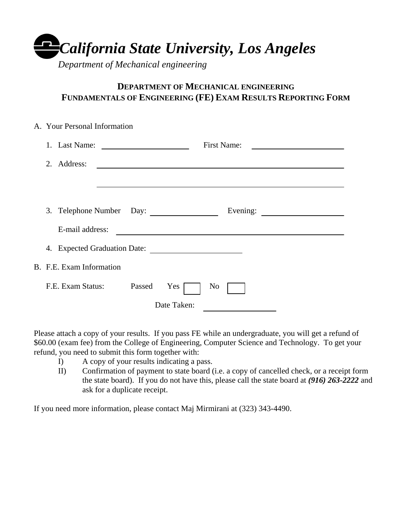*California State University, Los Angeles*

*Department of Mechanical engineering* 

## **DEPARTMENT OF MECHANICAL ENGINEERING FUNDAMENTALS OF ENGINEERING (FE) EXAM RESULTS REPORTING FORM**

|                                                                           | A. Your Personal Information |        |             |                                              |          |
|---------------------------------------------------------------------------|------------------------------|--------|-------------|----------------------------------------------|----------|
|                                                                           |                              |        |             | <b>First Name:</b>                           |          |
| 2. Address:<br><u> 1989 - Johann John Stein, fransk politik (d. 1989)</u> |                              |        |             |                                              |          |
|                                                                           |                              |        |             |                                              |          |
|                                                                           |                              |        |             |                                              |          |
|                                                                           | 3. Telephone Number Day:     |        |             |                                              | Evening: |
|                                                                           | E-mail address:              |        |             | <u> 1980 - Andrea Andrew Maria (b. 1980)</u> |          |
|                                                                           |                              |        |             |                                              |          |
|                                                                           | B. F.E. Exam Information     |        |             |                                              |          |
|                                                                           | F.E. Exam Status:            | Passed | Yes         | No                                           |          |
|                                                                           |                              |        | Date Taken: |                                              |          |

Please attach a copy of your results. If you pass FE while an undergraduate, you will get a refund of \$60.00 (exam fee) from the College of Engineering, Computer Science and Technology. To get your refund, you need to submit this form together with:

- I) A copy of your results indicating a pass.
- II) Confirmation of payment to state board (i.e. a copy of cancelled check, or a receipt form the state board). If you do not have this, please call the state board at *(916) 263-2222* and ask for a duplicate receipt.

If you need more information, please contact Maj Mirmirani at (323) 343-4490.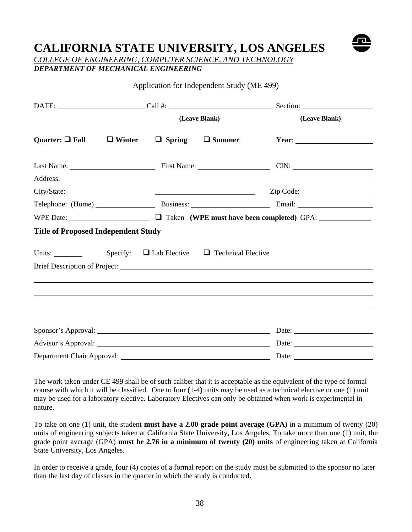## **CALIFORNIA STATE UNIVERSITY, LOS ANGELES**



*COLLEGE OF ENGINEERING, COMPUTER SCIENCE, AND TECHNOLOGY DEPARTMENT OF MECHANICAL ENGINEERING* 

#### Application for Independent Study (ME 499)

|                                                                |  | (Leave Blank) | (Leave Blank) |                                                                                                                                                                                                                                                                                                                                                                                                               |
|----------------------------------------------------------------|--|---------------|---------------|---------------------------------------------------------------------------------------------------------------------------------------------------------------------------------------------------------------------------------------------------------------------------------------------------------------------------------------------------------------------------------------------------------------|
| Quarter: $\Box$ Fall $\Box$ Winter $\Box$ Spring $\Box$ Summer |  |               |               | Year: $\frac{1}{\sqrt{1-\frac{1}{2}} \cdot \frac{1}{2}}$                                                                                                                                                                                                                                                                                                                                                      |
|                                                                |  |               |               | Last Name: CIN: CIN:                                                                                                                                                                                                                                                                                                                                                                                          |
|                                                                |  |               |               |                                                                                                                                                                                                                                                                                                                                                                                                               |
| City/State:                                                    |  |               |               |                                                                                                                                                                                                                                                                                                                                                                                                               |
|                                                                |  |               |               | Telephone: (Home) Business: Business: Email: Email:                                                                                                                                                                                                                                                                                                                                                           |
|                                                                |  |               |               | WPE Date: <u>Question of Taken</u> (WPE must have been completed) GPA:                                                                                                                                                                                                                                                                                                                                        |
| <b>Title of Proposed Independent Study</b>                     |  |               |               |                                                                                                                                                                                                                                                                                                                                                                                                               |
| Units: Specify: $\Box$ Lab Elective $\Box$ Technical Elective  |  |               |               |                                                                                                                                                                                                                                                                                                                                                                                                               |
|                                                                |  |               |               |                                                                                                                                                                                                                                                                                                                                                                                                               |
|                                                                |  |               |               | ,我们也不会有什么。""我们的人,我们也不会有什么?""我们的人,我们也不会有什么?""我们的人,我们也不会有什么?""我们的人,我们也不会有什么?""我们的人                                                                                                                                                                                                                                                                                                                              |
|                                                                |  |               |               |                                                                                                                                                                                                                                                                                                                                                                                                               |
|                                                                |  |               |               |                                                                                                                                                                                                                                                                                                                                                                                                               |
|                                                                |  |               |               |                                                                                                                                                                                                                                                                                                                                                                                                               |
|                                                                |  |               |               |                                                                                                                                                                                                                                                                                                                                                                                                               |
| Advisor's Approval: Date: Date:                                |  |               |               |                                                                                                                                                                                                                                                                                                                                                                                                               |
|                                                                |  |               |               | Date: $\frac{1}{\sqrt{1-\frac{1}{2}}\sqrt{1-\frac{1}{2}}\sqrt{1-\frac{1}{2}}\sqrt{1-\frac{1}{2}}\sqrt{1-\frac{1}{2}}\sqrt{1-\frac{1}{2}}\sqrt{1-\frac{1}{2}}\sqrt{1-\frac{1}{2}}\sqrt{1-\frac{1}{2}}\sqrt{1-\frac{1}{2}}\sqrt{1-\frac{1}{2}}\sqrt{1-\frac{1}{2}}\sqrt{1-\frac{1}{2}}\sqrt{1-\frac{1}{2}}\sqrt{1-\frac{1}{2}}\sqrt{1-\frac{1}{2}}\sqrt{1-\frac{1}{2}}\sqrt{1-\frac{1}{2}}\sqrt{1-\frac{1}{2}}$ |

The work taken under CE 499 shall be of such caliber that it is acceptable as the equivalent of the type of formal course with which it will be classified. One to four (1-4) units may be used as a technical elective or one (1) unit may be used for a laboratory elective. Laboratory Electives can only be obtained when work is experimental in nature.

To take on one (1) unit, the student **must have a 2.00 grade point average (GPA)** in a minimum of twenty (20) units of engineering subjects taken at California State University, Los Angeles. To take more than one (1) unit, the grade point average (GPA) **must be 2.76 in a minimum of twenty (20) units** of engineering taken at California State University, Los Angeles.

In order to receive a grade, four (4) copies of a formal report on the study must be submitted to the sponsor no later than the last day of classes in the quarter in which the study is conducted.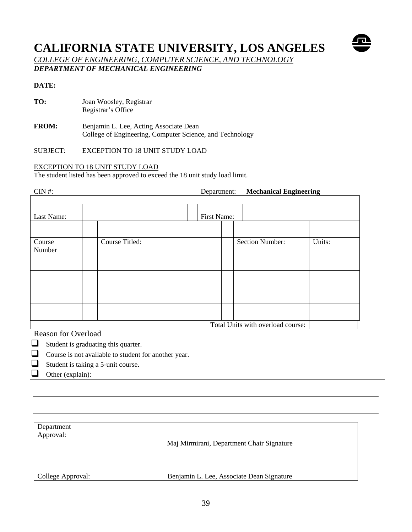## **CALIFORNIA STATE UNIVERSITY, LOS ANGELES**



*COLLEGE OF ENGINEERING, COMPUTER SCIENCE, AND TECHNOLOGY DEPARTMENT OF MECHANICAL ENGINEERING* 

#### **DATE:**

- **TO:** Joan Woosley, Registrar Registrar's Office
- **FROM:** Benjamin L. Lee, Acting Associate Dean College of Engineering, Computer Science, and Technology

SUBJECT: EXCEPTION TO 18 UNIT STUDY LOAD

#### EXCEPTION TO 18 UNIT STUDY LOAD

The student listed has been approved to exceed the 18 unit study load limit.

CIN #: Department: **Mechanical Engineering**  Last Name: First Name: Course Number Course Titled: Section Number: Units: Total Units with overload course:

Reason for Overload

- $\Box$  Student is graduating this quarter.
- Course is not available to student for another year.
- $\Box$  Student is taking a 5-unit course.
- $\Box$  Other (explain):

| Department<br>Approval: |                                           |  |
|-------------------------|-------------------------------------------|--|
|                         | Maj Mirmirani, Department Chair Signature |  |
|                         |                                           |  |
|                         |                                           |  |
| College Approval:       | Benjamin L. Lee, Associate Dean Signature |  |